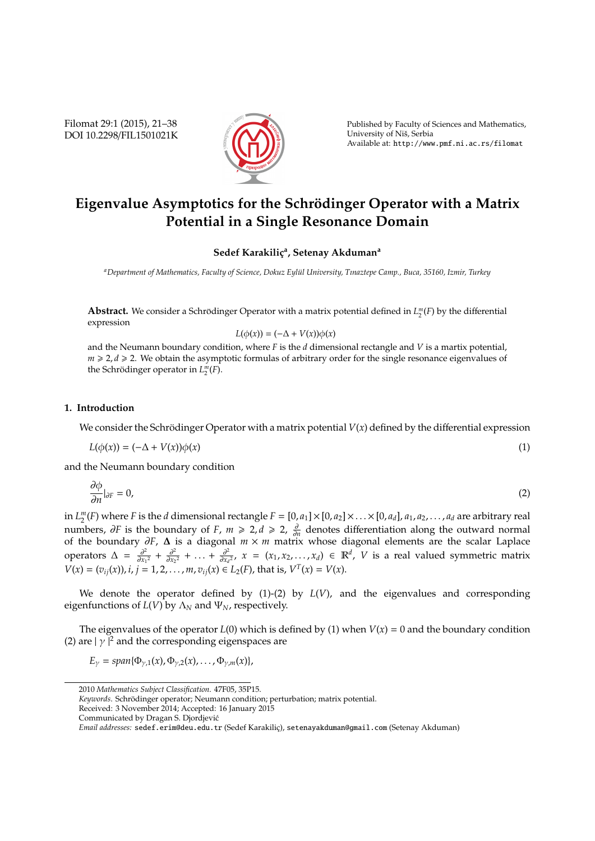Filomat 29:1 (2015), 21–38 DOI 10.2298/FIL1501021K



Published by Faculty of Sciences and Mathematics, University of Niš, Serbia Available at: http://www.pmf.ni.ac.rs/filomat

# Eigenvalue Asymptotics for the Schrödinger Operator with a Matrix **Potential in a Single Resonance Domain**

### **Sedef Karakilic¸<sup>a</sup> , Setenay Akduman<sup>a</sup>**

*<sup>a</sup>Department of Mathematics, Faculty of Science, Dokuz Eyl ¨ul University, Tınaztepe Camp., Buca, 35160, Izmir, Turkey*

**Abstract.** We consider a Schrödinger Operator with a matrix potential defined in  $L_2^m(F)$  by the differential expression

$$
L(\phi(x)) = (-\Delta + V(x))\phi(x)
$$

and the Neumann boundary condition, where *F* is the *d* dimensional rectangle and *V* is a martix potential,  $m \geq 2$ , *d*  $\geq 2$ . We obtain the asymptotic formulas of arbitrary order for the single resonance eigenvalues of the Schrödinger operator in  $L_2^m(F)$ .

## **1. Introduction**

We consider the Schrödinger Operator with a matrix potential  $V(x)$  defined by the differential expression

$$
L(\phi(x)) = (-\Delta + V(x))\phi(x) \tag{1}
$$

and the Neumann boundary condition

$$
\frac{\partial \phi}{\partial n}|_{\partial F} = 0,\tag{2}
$$

in  $L_2^m(F)$  where *F* is the *d* dimensional rectangle  $F = [0, a_1] \times [0, a_2] \times ... \times [0, a_d]$ ,  $a_1, a_2, ..., a_d$  are arbitrary real  $\lim_{z \to z_1} \sum_{i=1}^n \sum_{j=1}^n \sum_{j=1}^n \sum_{j=1}^n \sum_{j=1}^n \sum_{j=1}^n \sum_{j=1}^n \sum_{j=1}^n \sum_{j=1}^n \sum_{j=1}^n \sum_{j=1}^n \sum_{j=1}^n \sum_{j=1}^n \sum_{j=1}^n \sum_{j=1}^n \sum_{j=1}^n \sum_{j=1}^n \sum_{j=1}^n \sum_{j=1}^n \sum_{j=1}^n \sum_{j=1}^n \sum_{j=1}^n \sum_{j=1}^n \sum_{$ of the boundary ∂*F*, ∆ is a diagonal *m* × *m* matrix whose diagonal elements are the scalar Laplace operators  $\Delta = \frac{\partial^2}{\partial x_1}$  $\frac{\partial^2}{\partial x_1^2} + \frac{\partial^2}{\partial x_2}$  $\frac{\partial^2}{\partial x_2^2}$  + ... +  $\frac{\partial^2}{\partial x_i}$  $\frac{\partial^2}{\partial x_d^2}$ , *x* = (*x*<sub>1</sub>, *x*<sub>2</sub>, . . . , *x*<sub>*d*</sub>) ∈ R<sup>*d*</sup>, *V* is a real valued symmetric matrix  $V(x) = (v_{ij}(x)), i, j = 1, 2, ..., m, v_{ij}(x) \in L_2(F)$ , that is,  $V^T(x) = V(x)$ .

We denote the operator defined by  $(1)-(2)$  by  $L(V)$ , and the eigenvalues and corresponding eigenfunctions of  $L(V)$  by  $\Lambda_N$  and  $\Psi_N$ , respectively.

The eigenvalues of the operator  $L(0)$  which is defined by (1) when  $V(x) = 0$  and the boundary condition (2) are  $|\gamma|^2$  and the corresponding eigenspaces are

 $E_{\gamma} = span{\Phi_{\gamma,1}(x), \Phi_{\gamma,2}(x), \ldots, \Phi_{\gamma,m}(x)}$ 

<sup>2010</sup> *Mathematics Subject Classification*. 47F05, 35P15.

*Keywords*. Schrödinger operator; Neumann condition; perturbation; matrix potential.

Received: 3 November 2014; Accepted: 16 January 2015

Communicated by Dragan S. Djordjevic´

*Email addresses:* sedef.erim@deu.edu.tr (Sedef Karakilic¸), setenayakduman@gmail.com (Setenay Akduman)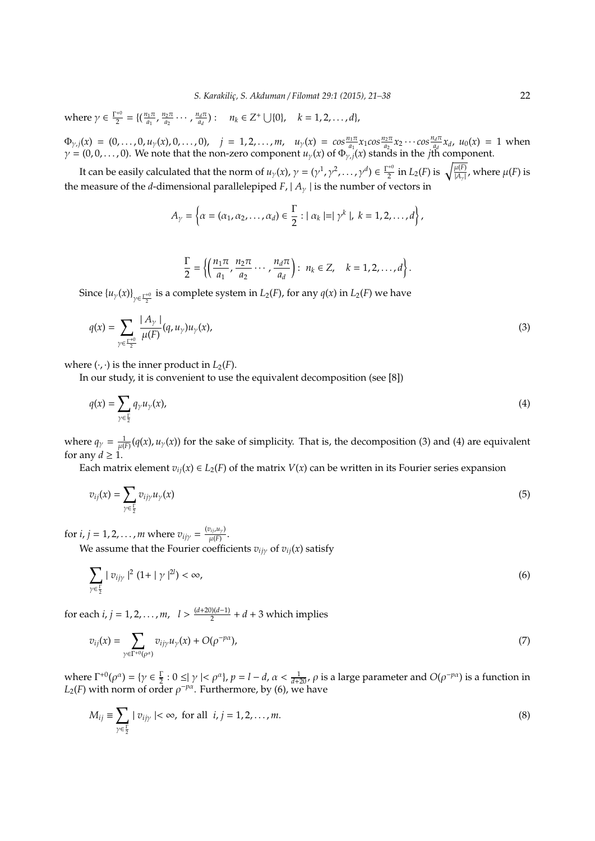where  $\gamma \in \frac{\Gamma^{+0}}{2}$  $\frac{a+0}{2} = \left\{\left(\frac{n_1\pi}{a_1}\right)\right\}$  $\frac{n_1\pi}{a_1}$ ,  $\frac{n_2\pi}{a_2}$  $\frac{n_2\pi}{a_2}\cdots$ ,  $\frac{n_d\pi}{a_d}$  $\frac{a_d \pi}{a_d}$ ):  $n_k \in Z^+ \cup \{0\}, \quad k = 1, 2, ..., d\},$ 

 $\Phi_{\gamma,j}(x) = (0,\ldots,0,u_{\gamma}(x),0,\ldots,0), \quad j = 1,2,\ldots,m, \quad u_{\gamma}(x) = \cos\frac{n_1\pi}{a_1}x_1\cos\frac{n_2\pi}{a_2}x_2\cdots\cos\frac{n_d\pi}{a_d}$  $\frac{d^{n} u}{d^{n}} x_{d}$ ,  $u_{0}(x) = 1$  when  $\gamma = (0, 0, \ldots, 0)$ . We note that the non-zero component  $u_{\gamma}(x)$  of  $\Phi_{\gamma, j}(x)$  stands in the *j*th component.

It can be easily calculated that the norm of  $u_\gamma(x)$ ,  $\gamma = (\gamma^1, \gamma^2, \dots, \gamma^d) \in \frac{\Gamma^{*0}}{2}$  $\frac{1}{2}$  in  $L_2(F)$  is  $\sqrt{\frac{\mu(F)}{|A_{\gamma}|}}$ , where  $\mu(F)$  is the measure of the *d*-dimensional parallelepiped *F*,  $| A_{\gamma} |$  is the number of vectors in

$$
A_{\gamma} = \left\{ \alpha = (\alpha_1, \alpha_2, \ldots, \alpha_d) \in \frac{\Gamma}{2} : |\alpha_k| = |\gamma^k|, \ k = 1, 2, \ldots, d \right\},\
$$

$$
\frac{\Gamma}{2}=\left\{\left(\frac{n_1\pi}{a_1},\frac{n_2\pi}{a_2}\cdots,\frac{n_d\pi}{a_d}\right):\;n_k\in\mathbb{Z},\quad k=1,2,\ldots,d\right\}.
$$

Since  $\{u_\gamma(x)\}_{\gamma \in \frac{\Gamma^{*0}}{2}}$  is a complete system in  $L_2(F)$ , for any  $q(x)$  in  $L_2(F)$  we have

$$
q(x) = \sum_{\gamma \in \frac{\Gamma^{+0}}{2}} \frac{|A_{\gamma}|}{\mu(F)} (q, u_{\gamma}) u_{\gamma}(x), \tag{3}
$$

where  $(\cdot, \cdot)$  is the inner product in  $L_2(F)$ .

In our study, it is convenient to use the equivalent decomposition (see [8])

$$
q(x) = \sum_{\gamma \in \frac{\Gamma}{2}} q_{\gamma} u_{\gamma}(x), \tag{4}
$$

where  $q_{\gamma} = \frac{1}{\mu(F)}(q(x), u_{\gamma}(x))$  for the sake of simplicity. That is, the decomposition (3) and (4) are equivalent for any  $d \geq 1$ .

Each matrix element  $v_{ii}(x) \in L_2(F)$  of the matrix  $V(x)$  can be written in its Fourier series expansion

$$
v_{ij}(x) = \sum_{\gamma \in \frac{\Gamma}{2}} v_{ij\gamma} u_{\gamma}(x) \tag{5}
$$

for *i*, *j* = 1, 2, . . . , *m* where  $v_{ijy} = \frac{(v_{ij}, u_y)}{u(F)}$  $\frac{\mu(F)}{\mu(F)}$ .

We assume that the Fourier coefficients  $v_{ijy}$  of  $v_{ij}(x)$  satisfy

$$
\sum_{\gamma \in \frac{1}{2}} |v_{ij\gamma}|^2 (1 + |\gamma|^{2l}) < \infty,
$$
\n(6)

for each  $i, j = 1, 2, ..., m, \quad l > \frac{(d+20)(d-1)}{2}$  $\frac{d}{2}$  + *d* + 3 which implies

$$
v_{ij}(x) = \sum_{\gamma \in \Gamma^{+0}(\rho^{\alpha})} v_{ij\gamma} u_{\gamma}(x) + O(\rho^{-p\alpha}), \qquad (7)
$$

where  $\Gamma^{+0}(\rho^{\alpha}) = \{ \gamma \in \frac{\Gamma}{2} : 0 \leq |\gamma| < \rho^{\alpha} \}, \rho = l - d, \alpha < \frac{1}{d+20}, \rho \text{ is a large parameter and } O(\rho^{-p\alpha}) \text{ is a function in } \mathcal{D}(\rho, \rho) \}$  $L_2(F)$  with norm of order  $\rho^{-p\alpha}$ . Furthermore, by (6), we have

$$
M_{ij} \equiv \sum_{\gamma \in \frac{1}{2}} |v_{ij\gamma}| < \infty, \text{ for all } i, j = 1, 2, \dots, m.
$$
 (8)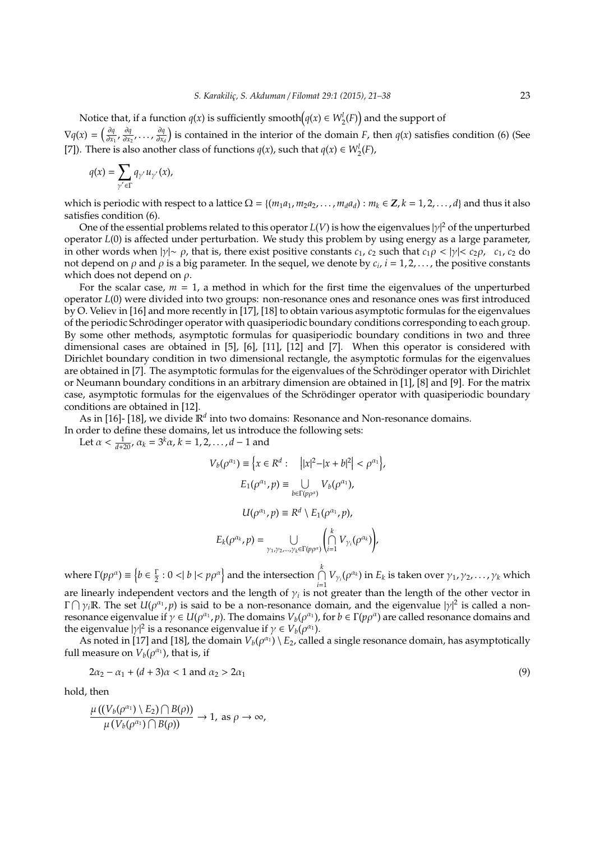Notice that, if a function  $q(x)$  is sufficiently smooth $(q(x) \in W_2^l(F))$  and the support of  $\nabla q(x) = \left(\frac{\partial q}{\partial x},\right)$  $\frac{\partial q}{\partial x_1}$ ,  $\frac{\partial q}{\partial x_2}$  $\frac{\partial q}{\partial x_2}$ , ...,  $\frac{\partial q}{\partial x_i}$  $\frac{\partial q}{\partial x_d}$ ) is contained in the interior of the domain *F*, then *q*(*x*) satisfies condition (6) (See [7]). There is also another class of functions *q*(*x*), such that *q*(*x*)  $\in W_2^l(F)$ ,

$$
q(x) = \sum_{\gamma' \in \Gamma} q_{\gamma'} u_{\gamma'}(x),
$$

which is periodic with respect to a lattice  $\Omega = \{(m_1a_1, m_2a_2, \ldots, m_d a_d) : m_k \in \mathbb{Z}, k = 1, 2, \ldots, d\}$  and thus it also satisfies condition (6).

One of the essential problems related to this operator *L*(*V*) is how the eigenvalues |γ| <sup>2</sup> of the unperturbed operator *L*(0) is affected under perturbation. We study this problem by using energy as a large parameter, in other words when  $|\gamma| \sim \rho$ , that is, there exist positive constants *c*<sub>1</sub>, *c*<sub>2</sub> such that *c*<sub>1</sub> $\rho < |\gamma| < c_2 \rho$ , *c*<sub>1</sub>, *c*<sub>2</sub> do not depend on  $\rho$  and  $\rho$  is a big parameter. In the sequel, we denote by  $c_i$ ,  $i=1,2,\ldots$  , the positive constants which does not depend on  $\rho$ .

For the scalar case,  $m = 1$ , a method in which for the first time the eigenvalues of the unperturbed operator *L*(0) were divided into two groups: non-resonance ones and resonance ones was first introduced by O. Veliev in [16] and more recently in [17], [18] to obtain various asymptotic formulas for the eigenvalues of the periodic Schrödinger operator with quasiperiodic boundary conditions corresponding to each group. By some other methods, asymptotic formulas for quasiperiodic boundary conditions in two and three dimensional cases are obtained in [5], [6], [11], [12] and [7]. When this operator is considered with Dirichlet boundary condition in two dimensional rectangle, the asymptotic formulas for the eigenvalues are obtained in [7]. The asymptotic formulas for the eigenvalues of the Schrödinger operator with Dirichlet or Neumann boundary conditions in an arbitrary dimension are obtained in [1], [8] and [9]. For the matrix case, asymptotic formulas for the eigenvalues of the Schrödinger operator with quasiperiodic boundary conditions are obtained in [12].

As in [16]- [18], we divide  $\mathbb{R}^d$  into two domains: Resonance and Non-resonance domains. In order to define these domains, let us introduce the following sets:

Let  $\alpha < \frac{1}{d+20}$ ,  $\alpha_k = 3^k \alpha$ ,  $k = 1, 2, ..., d - 1$  and

$$
V_b(\rho^{\alpha_1}) \equiv \left\{ x \in R^d : \quad \left| |x|^2 - |x + b|^2 \right| < \rho^{\alpha_1} \right\},
$$
\n
$$
E_1(\rho^{\alpha_1}, p) \equiv \bigcup_{b \in \Gamma(p\rho^{\alpha})} V_b(\rho^{\alpha_1}),
$$
\n
$$
U(\rho^{\alpha_1}, p) \equiv R^d \setminus E_1(\rho^{\alpha_1}, p),
$$
\n
$$
E_k(\rho^{\alpha_k}, p) = \bigcup_{\gamma_1, \gamma_2, \dots, \gamma_k \in \Gamma(p\rho^{\alpha})} \left( \bigcap_{i=1}^k V_{\gamma_i}(\rho^{\alpha_k}) \right),
$$

where  $\Gamma(p\rho^{\alpha}) \equiv \left\{ b \in \frac{\Gamma}{2} : 0 < |b| < p\rho^{\alpha} \right\}$  and the intersection  $\bigcap_{i=1}^{k}$  $\bigcap_{i=1} V_{\gamma_i}(\rho^{\alpha_k})$  in  $E_k$  is taken over  $\gamma_1, \gamma_2, \ldots, \gamma_k$  which are linearly independent vectors and the length of  $\gamma_i$  is not greater than the length of the other vector in  $\Gamma \cap \gamma_i \mathbb{R}$ . The set  $U(\rho^{\alpha_1}, p)$  is said to be a non-resonance domain, and the eigenvalue  $|\gamma|^2$  is called a nonresonance eigenvalue if  $\gamma \in U(\rho^{\alpha_1}, p)$ . The domains  $V_b(\rho^{\alpha_1})$ , for  $b \in \Gamma(p\rho^{\alpha})$  are called resonance domains and the eigenvalue  $|\gamma|^2$  is a resonance eigenvalue if  $\gamma \in V_b(\rho^{\alpha_1})$ .

As noted in [17] and [18], the domain  $V_b(\rho^{a_1}) \setminus E_2$ , called a single resonance domain, has asymptotically full measure on  $V_b(\rho^{\alpha_1})$ , that is, if

$$
2\alpha_2 - \alpha_1 + (d+3)\alpha < 1 \text{ and } \alpha_2 > 2\alpha_1 \tag{9}
$$

hold, then

$$
\frac{\mu((V_b(\rho^{\alpha_1}) \setminus E_2) \cap B(\rho))}{\mu(V_b(\rho^{\alpha_1}) \cap B(\rho))} \to 1, \text{ as } \rho \to \infty,
$$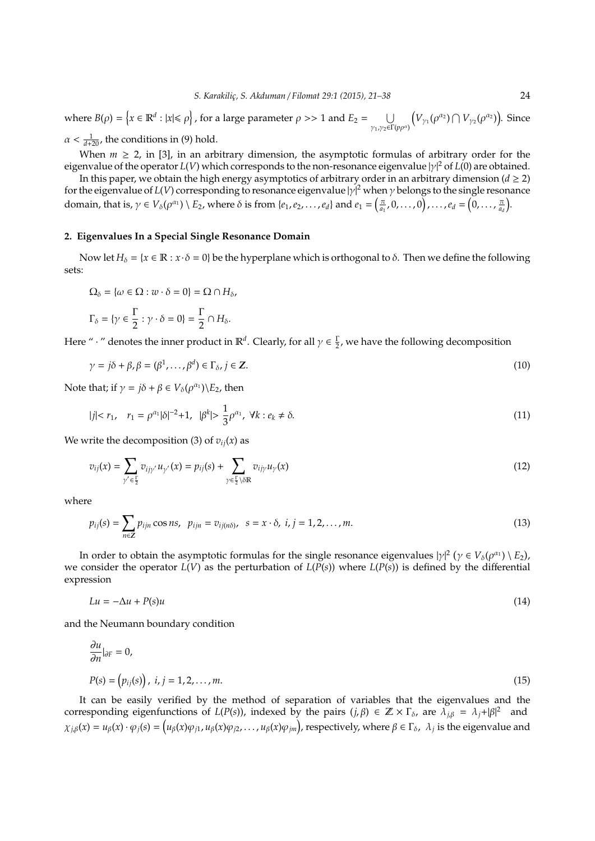where  $B(\rho) = \left\{ x \in \mathbb{R}^d : |x| \leq \rho \right\}$ , for a large parameter  $\rho >> 1$  and  $E_2 = \bigcup$ γ1,γ2∈Γ(*p*ρ α)  $(V_{\gamma_1}(\rho^{\alpha_2}) \cap V_{\gamma_2}(\rho^{\alpha_2}))$ . Since  $\alpha < \frac{1}{d+20}$ , the conditions in (9) hold.

When  $m \ge 2$ , in [3], in an arbitrary dimension, the asymptotic formulas of arbitrary order for the eigenvalue of the operator *L*(*V*) which corresponds to the non-resonance eigenvalue |γ| <sup>2</sup> of *L*(0) are obtained.

In this paper, we obtain the high energy asymptotics of arbitrary order in an arbitrary dimension ( $d \geq 2$ ) for the eigenvalue of *L*(*V*) corresponding to resonance eigenvalue |y|<sup>2</sup> when γ belongs to the single resonance domain, that is,  $\gamma \in V_{\delta}(\rho^{\alpha_1}) \setminus E_2$ , where  $\delta$  is from  $\{e_1, e_2, \ldots, e_d\}$  and  $e_1 = \left(\frac{\pi}{a_1}, 0, \ldots, 0\right), \ldots, e_d = \left(0, \ldots, \frac{\pi}{a_d}\right)$ .

#### **2. Eigenvalues In a Special Single Resonance Domain**

Now let  $H_\delta = \{x \in \mathbb{R} : x \cdot \delta = 0\}$  be the hyperplane which is orthogonal to  $\delta$ . Then we define the following sets:

$$
\Omega_{\delta} = \{ \omega \in \Omega : w \cdot \delta = 0 \} = \Omega \cap H_{\delta},
$$
  

$$
\Gamma_{\delta} = \{ \gamma \in \frac{\Gamma}{2} : \gamma \cdot \delta = 0 \} = \frac{\Gamma}{2} \cap H_{\delta}.
$$

Here "  $\cdot$  " denotes the inner product in  $\mathbb{R}^d$ . Clearly, for all  $\gamma \in \frac{\Gamma}{2}$ , we have the following decomposition

$$
\gamma = j\delta + \beta, \beta = (\beta^1, \dots, \beta^d) \in \Gamma_\delta, j \in \mathbb{Z}.
$$
\n(10)

Note that; if  $\gamma = j\delta + \beta \in V_{\delta}(\rho^{\alpha_1}) \backslash E_2$ , then

$$
|j| < r_1, \quad r_1 = \rho^{\alpha_1} |\delta|^{-2} + 1, \quad |\beta^k| > \frac{1}{3} \rho^{\alpha_1}, \quad \forall k : e_k \neq \delta. \tag{11}
$$

We write the decomposition (3) of  $v_{ij}(x)$  as

$$
v_{ij}(x) = \sum_{\gamma' \in \frac{\Gamma}{2}} v_{ij\gamma'} u_{\gamma'}(x) = p_{ij}(s) + \sum_{\gamma \in \frac{\Gamma}{2} \backslash \delta \mathbb{R}} v_{ij\gamma} u_{\gamma}(x)
$$
(12)

where

$$
p_{ij}(s) = \sum_{n \in \mathbb{Z}} p_{ijn} \cos ns, \ \ p_{ijn} = v_{ij(n\delta)}, \ \ s = x \cdot \delta, \ \ i, j = 1, 2, \dots, m. \tag{13}
$$

In order to obtain the asymptotic formulas for the single resonance eigenvalues  $|\gamma|^2$   $(\gamma \in V_\delta(\rho^{\alpha_1}) \setminus E_2)$ , we consider the operator  $L(V)$  as the perturbation of  $L(P(s))$  where  $L(P(s))$  is defined by the differential expression

$$
Lu = -\Delta u + P(s)u \tag{14}
$$

and the Neumann boundary condition

$$
\frac{\partial u}{\partial n}|_{\partial F} = 0,
$$
  

$$
P(s) = (p_{ij}(s)), \ i, j = 1, 2, ..., m.
$$
 (15)

It can be easily verified by the method of separation of variables that the eigenvalues and the corresponding eigenfunctions of *L*(*P*(*s*)), indexed by the pairs (*j*,  $\beta$ )  $\in \mathbb{Z} \times \Gamma_{\delta}$ , are  $\lambda_{j\beta} = \lambda_j + |\beta|^2$  and  $\chi_{j,\beta}(x)=u_{\beta}(x)\cdot\varphi_j(s)=\left(u_{\beta}(x)\varphi_{j1},u_{\beta}(x)\varphi_{j2},\ldots,u_{\beta}(x)\varphi_{jm}\right)$ , respectively, where  $\beta\in\Gamma_\delta$ ,  $\lambda_j$  is the eigenvalue and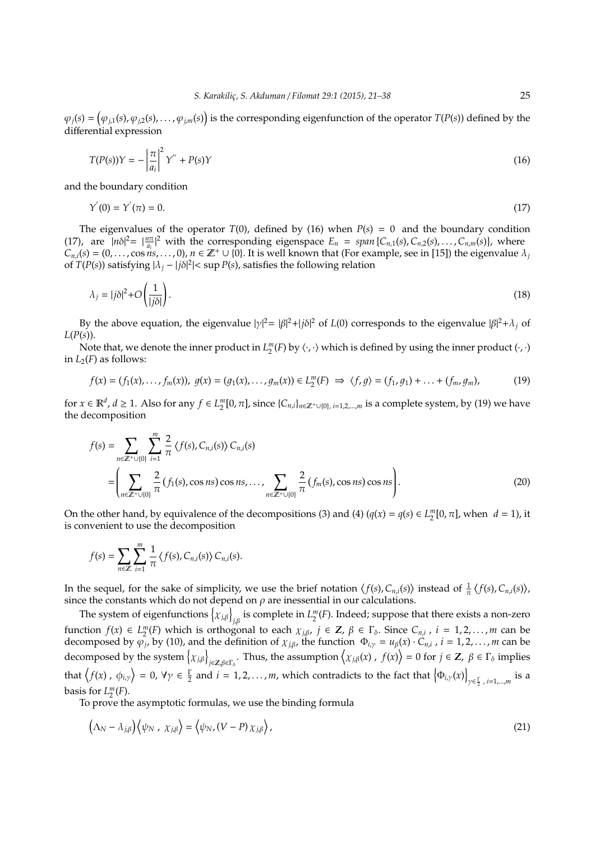$\varphi_j(s) = (\varphi_{j,1}(s), \varphi_{j,2}(s), \ldots, \varphi_{j,m}(s))$  is the corresponding eigenfunction of the operator  $T(P(s))$  defined by the differential expression

$$
T(P(s))Y = -\left|\frac{\pi}{a_i}\right|^2 Y'' + P(s)Y\tag{16}
$$

and the boundary condition

$$
Y'(0) = Y'(\pi) = 0.
$$
\n(17)

The eigenvalues of the operator  $T(0)$ , defined by (16) when  $P(s) = 0$  and the boundary condition (17), are  $|n\delta|^2 = |\frac{n\pi}{a_i}|^2$  with the corresponding eigenspace  $E_n = span\{C_{n,1}(s), C_{n,2}(s), \ldots, C_{n,m}(s)\}\)$ , where  $C_{n,i}(s) = (0, \ldots, \cos \hat{n}s, \ldots, 0), n \in \mathbb{Z}^+ \cup \{0\}$ . It is well known that (For example, see in [15]) the eigenvalue  $\lambda_j$ of *T*(*P*(*s*)) satisfying  $|\lambda_j - j\delta|^2$  | < sup *P*(*s*), satisfies the following relation

$$
\lambda_j = |j\delta|^2 + O\left(\frac{1}{|j\delta|}\right). \tag{18}
$$

By the above equation, the eigenvalue  $|\gamma|^2 = |\beta|^2 + j\delta|^2$  of  $L(0)$  corresponds to the eigenvalue  $|\beta|^2 + \lambda_j$  of *L*(*P*(*s*)).

Note that, we denote the inner product in  $L_2^m(F)$  by  $\langle \cdot, \cdot \rangle$  which is defined by using the inner product  $(\cdot, \cdot)$ in  $L_2(F)$  as follows:

$$
f(x) = (f_1(x), \ldots, f_m(x)), \ g(x) = (g_1(x), \ldots, g_m(x)) \in L_2^m(F) \implies \langle f, g \rangle = (f_1, g_1) + \ldots + (f_m, g_m), \tag{19}
$$

for  $x \in \mathbb{R}^d$ ,  $d \ge 1$ . Also for any  $f \in L_2^m[0, \pi]$ , since  $\{C_{n,i}\}_{n \in \mathbb{Z}^+ \cup \{0\}, i=1,2,\dots,m}$  is a complete system, by (19) we have the decomposition

$$
f(s) = \sum_{n \in \mathbb{Z}^+ \cup \{0\}} \sum_{i=1}^m \frac{2}{\pi} \langle f(s), C_{n,i}(s) \rangle C_{n,i}(s)
$$
  
= 
$$
\left( \sum_{n \in \mathbb{Z}^+ \cup \{0\}} \frac{2}{\pi} (f_1(s), \cos ns) \cos ns, \dots, \sum_{n \in \mathbb{Z}^+ \cup \{0\}} \frac{2}{\pi} (f_m(s), \cos ns) \cos ns \right).
$$
 (20)

On the other hand, by equivalence of the decompositions (3) and (4)  $(q(x) = q(s) \in L_2^m[0, \pi]$ , when  $d = 1$ ), it is convenient to use the decomposition

$$
f(s) = \sum_{n \in \mathbb{Z}} \sum_{i=1}^m \frac{1}{\pi} \langle f(s), C_{n,i}(s) \rangle C_{n,i}(s).
$$

In the sequel, for the sake of simplicity, we use the brief notation  $\langle f(s), C_{n,i}(s) \rangle$  instead of  $\frac{1}{\pi} \langle f(s), C_{n,i}(s) \rangle$ , since the constants which do not depend on  $\rho$  are inessential in our calculations.

The system of eigenfunctions  $\big\{\chi_{j,\beta}\big\}_{j,\beta}$  is complete in  $L_2^m(F)$ . Indeed; suppose that there exists a non-zero function  $f(x) \in L_2^m(F)$  which is orthogonal to each  $\chi_{j,\beta}$ ,  $j \in \mathbb{Z}$ ,  $\beta \in \Gamma_\delta$ . Since  $C_{n,i}$ ,  $i = 1,2,...,m$  can be decomposed by  $\varphi_j$ , by (10), and the definition of  $\chi_{j,\beta}$ , the function  $\Phi_{i,\gamma} = u_\beta(x) \cdot C_{n,i}$ ,  $i = 1, 2, ..., m$  can be decomposed by the system  $\left\{ \chi_{j,\beta} \right\}_{j \in \mathbb{Z}, \beta \in \Gamma_{\delta}}$ . Thus, the assumption  $\left\langle \chi_{j,\beta}(x) \right\rangle$ ,  $f(x)$  = 0 for  $j \in \mathbb{Z}$ ,  $\beta \in \Gamma_{\delta}$  implies that  $\big(f(x)$  ,  $\phi_{i,y}\bigg\rangle = 0$ ,  $\forall \gamma \in \frac{\Gamma}{2}$  and  $i = 1, 2, ..., m$ , which contradicts to the fact that  $\big\{\Phi_{i,\gamma}(x)\big\}$ γ∈ Γ 2 , *i*=1,...,*m* is a basis for  $L_2^m(F)$ .

To prove the asymptotic formulas, we use the binding formula

$$
\left(\Lambda_N - \lambda_{j,\beta}\right)\left\langle\psi_N \, , \, \chi_{j,\beta}\right\rangle = \left\langle\psi_N \, , \left(V - P\right)\chi_{j,\beta}\right\rangle, \tag{21}
$$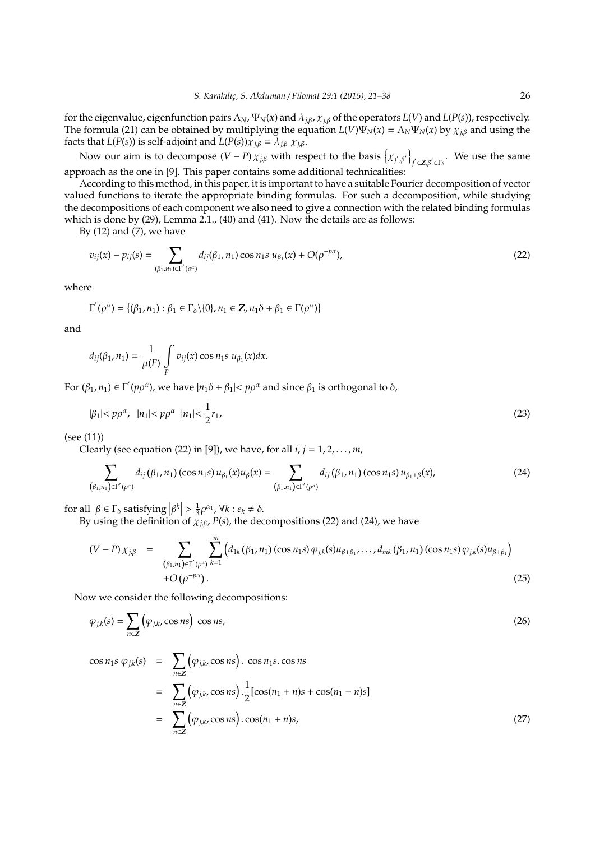for the eigenvalue, eigenfunction pairs  $\Lambda_N$ ,  $\Psi_N(x)$  and  $\lambda_{j,\beta}$ ,  $\chi_{j,\beta}$  of the operators  $L(V)$  and  $L(P(s))$ , respectively. The formula (21) can be obtained by multiplying the equation  $L(V)\Psi_N(x) = \Lambda_N \Psi_N(x)$  by  $\chi_{j,\beta}$  and using the facts that *L*(*P*(*s*)) is self-adjoint and *L*(*P*(*s*)) $\chi_{j,\beta} = \lambda_{j,\beta} \chi_{j,\beta}$ .

Now our aim is to decompose  $(V - P) \chi_{j,\beta}$  with respect to the basis  $\left\{\chi_{j',\beta'}\right\}$ *j*′  $\in$ **Z**,β′  $\in$ Γ<sub>δ</sub>. We use the same approach as the one in [9]. This paper contains some additional technicalities:

According to this method, in this paper, it is important to have a suitable Fourier decomposition of vector valued functions to iterate the appropriate binding formulas. For such a decomposition, while studying the decompositions of each component we also need to give a connection with the related binding formulas which is done by (29), Lemma 2.1., (40) and (41). Now the details are as follows:

By  $(12)$  and  $(7)$ , we have

$$
v_{ij}(x) - p_{ij}(s) = \sum_{(\beta_1, n_1) \in \Gamma'(\rho^{\alpha})} d_{ij}(\beta_1, n_1) \cos n_1 s \ u_{\beta_1}(x) + O(\rho^{-p\alpha}), \tag{22}
$$

where

$$
\Gamma^{'}(\rho^{\alpha}) = \{(\beta_1, n_1) : \beta_1 \in \Gamma_{\delta} \setminus \{0\}, n_1 \in \mathbb{Z}, n_1 \delta + \beta_1 \in \Gamma(\rho^{\alpha})\}
$$

and

$$
d_{ij}(\beta_1, n_1) = \frac{1}{\mu(F)} \int\limits_F v_{ij}(x) \cos n_1 s \mu_{\beta_1}(x) dx.
$$

For  $(\beta_1, n_1) \in \Gamma' (p\rho^{\alpha})$ , we have  $|n_1 \delta + \beta_1| < p\rho^{\alpha}$  and since  $\beta_1$  is orthogonal to  $\delta$ ,

$$
|\beta_1| < p\rho^{\alpha}, \quad |n_1| < p\rho^{\alpha} \quad |n_1| < \frac{1}{2}r_1,\tag{23}
$$

(see (11))

Clearly (see equation (22) in [9]), we have, for all *i*, *j* = 1, 2, . . . , *m*,

$$
\sum_{(\beta_1,n_1)\in\Gamma'(\rho^{\alpha})}d_{ij}(\beta_1,n_1)(\cos n_1s)u_{\beta_1}(x)u_{\beta}(x)=\sum_{(\beta_1,n_1)\in\Gamma'(\rho^{\alpha})}d_{ij}(\beta_1,n_1)(\cos n_1s)u_{\beta_1+\beta}(x),
$$
\n(24)

for all  $\beta \in \Gamma_{\delta}$  satisfying  $|\beta^{k}| > \frac{1}{3}\rho^{\alpha_1}$ ,  $\forall k : e_k \neq \delta$ .<br>Principa the definition of  $x \in \mathbb{R}$  of the decision

By using the definition of  $\chi_{i\beta}$ , *P*(*s*), the decompositions (22) and (24), we have

$$
(V - P) \chi_{j,\beta} = \sum_{\substack{(\beta_1, n_1) \in \Gamma'(\rho^{\alpha}) \\ +O(\rho^{-p\alpha})}} \sum_{k=1}^m \left( d_{1k}(\beta_1, n_1) (\cos n_1 s) \varphi_{j,k}(s) u_{\beta + \beta_1}, \dots, d_{mk}(\beta_1, n_1) (\cos n_1 s) \varphi_{j,k}(s) u_{\beta + \beta_1} \right)
$$
(25)

Now we consider the following decompositions:

$$
\varphi_{j,k}(s) = \sum_{n \in \mathbb{Z}} \left( \varphi_{j,k}, \cos ns \right) \cos ns, \tag{26}
$$

$$
\cos n_1 s \varphi_{j,k}(s) = \sum_{n \in \mathbb{Z}} (\varphi_{j,k}, \cos ns). \cos n_1 s. \cos ns
$$
  
= 
$$
\sum_{n \in \mathbb{Z}} (\varphi_{j,k}, \cos ns). \frac{1}{2} [\cos(n_1 + n)s + \cos(n_1 - n)s]
$$
  
= 
$$
\sum_{n \in \mathbb{Z}} (\varphi_{j,k}, \cos ns). \cos(n_1 + n)s,
$$
 (27)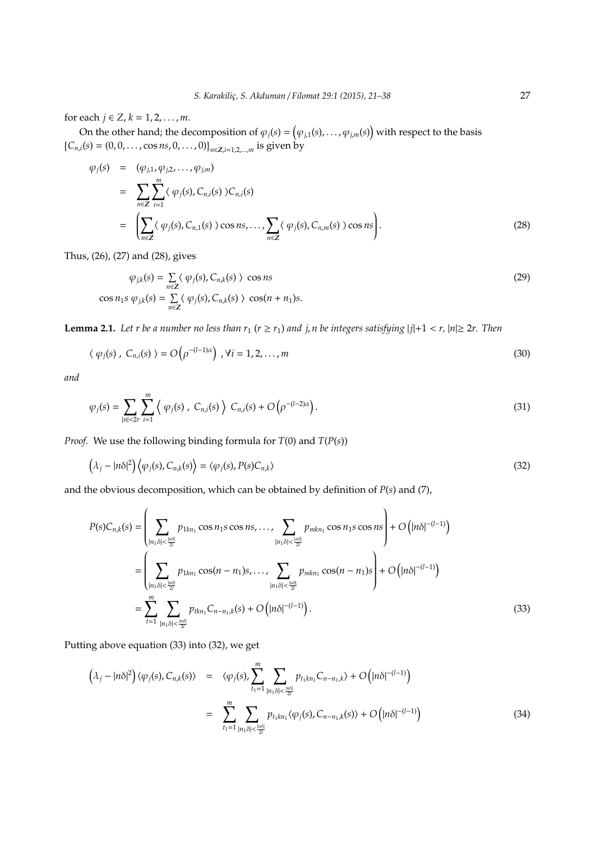for each  $j \in Z$ ,  $k = 1, 2, ..., m$ .

On the other hand; the decomposition of  $\varphi_j(s) = (\varphi_{j,1}(s), \ldots, \varphi_{j,m}(s))$  with respect to the basis  ${C_{n,i}(s) = (0, 0, \dots, \cos ns, 0, \dots, 0)}_{n \in \mathbb{Z}, i=1,2,\dots,m}$  is given by

$$
\varphi_j(s) = (\varphi_{j,1}, \varphi_{j,2}, \dots, \varphi_{j,m})
$$
\n
$$
= \sum_{n \in \mathbb{Z}} \sum_{i=1}^m \langle \varphi_j(s), C_{n,i}(s) \rangle C_{n,i}(s)
$$
\n
$$
= \left( \sum_{n \in \mathbb{Z}} \langle \varphi_j(s), C_{n,1}(s) \rangle \cos ns, \dots, \sum_{n \in \mathbb{Z}} \langle \varphi_j(s), C_{n,m}(s) \rangle \cos ns \right).
$$
\n(28)

Thus, (26), (27) and (28), gives

$$
\varphi_{j,k}(s) = \sum_{n \in \mathbb{Z}} \langle \varphi_j(s), C_{n,k}(s) \rangle \cos ns
$$
  
\n
$$
\cos n_1 s \varphi_{j,k}(s) = \sum_{n \in \mathbb{Z}} \langle \varphi_j(s), C_{n,k}(s) \rangle \cos(n + n_1)s.
$$
\n(29)

**Lemma 2.1.** Let *r* be a number no less than  $r_1$  ( $r \ge r_1$ ) and j, n be integers satisfying  $|j|+1 < r$ ,  $|n| \ge 2r$ . Then

$$
\langle \varphi_j(s) \, , \, C_{n,i}(s) \, \rangle = O\big(\rho^{-(l-1)\alpha}\big) \, , \forall i = 1, 2, \dots, m \tag{30}
$$

*and*

$$
\varphi_j(s) = \sum_{|n| < 2r} \sum_{i=1}^m \left\{ \varphi_j(s) \, , \, C_{n,i}(s) \right\} \, C_{n,i}(s) + O\left(\rho^{-(l-2)\alpha}\right). \tag{31}
$$

*Proof.* We use the following binding formula for *T*(0) and *T*(*P*(*s*))

$$
(\lambda_j - |n\delta|^2) \langle \varphi_j(s), C_{n,k}(s) \rangle = \langle \varphi_j(s), P(s) C_{n,k} \rangle
$$
\n(32)

and the obvious decomposition, which can be obtained by definition of *P*(*s*) and (7),

$$
P(s)C_{n,k}(s) = \left(\sum_{|n_1\delta| < \frac{|n\delta|}{2l}} p_{1kn_1} \cos n_1 s \cos n s, \dots, \sum_{|n_1\delta| < \frac{|n\delta|}{2l}} p_{mkn_1} \cos n_1 s \cos n s\right) + O\left(|n\delta|^{-(l-1)}\right)
$$
\n
$$
= \left(\sum_{|n_1\delta| < \frac{|n\delta|}{2l}} p_{1kn_1} \cos(n - n_1)s, \dots, \sum_{|n_1\delta| < \frac{|n\delta|}{2l}} p_{mkn_1} \cos(n - n_1)s\right) + O\left(|n\delta|^{-(l-1)}\right)
$$
\n
$$
= \sum_{t=1}^m \sum_{|n_1\delta| < \frac{|n\delta|}{2l}} p_{tkn_1} C_{n - n_1,k}(s) + O\left(|n\delta|^{-(l-1)}\right). \tag{33}
$$

Putting above equation (33) into (32), we get

 $\overline{a}$ 

$$
\left(\lambda_{j} - |n\delta|^{2}\right) \langle \varphi_{j}(s), C_{n,k}(s) \rangle = \langle \varphi_{j}(s), \sum_{t_{1}=1}^{m} \sum_{|n_{1}\delta| < \frac{|n\delta|}{2l}} p_{t_{1}kn_{1}} C_{n-n_{1},k} \rangle + O\left(|n\delta|^{-(l-1)}\right)
$$

$$
= \sum_{t_{1}=1}^{m} \sum_{|n_{1}\delta| < \frac{|n\delta|}{2l}} p_{t_{1}kn_{1}} \langle \varphi_{j}(s), C_{n-n_{1},k}(s) \rangle + O\left(|n\delta|^{-(l-1)}\right)
$$
(34)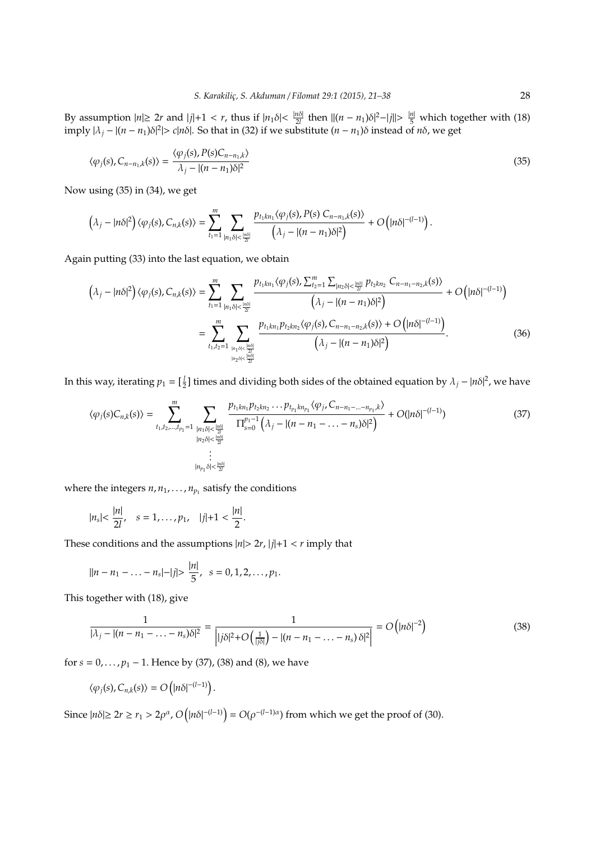By assumption  $|n| \geq 2r$  and  $|j|+1 < r$ , thus if  $|n_1 \delta| < \frac{|n\delta|}{2l}$  $\frac{n\delta}{2l}$  then  $||(n - n_1)\delta|^2 - |j|| > \frac{|n|}{5}$  which together with (18)  $\int \ln \frac{1}{n} \left| \frac{n - n_1}{\delta^2} \right| > c|n\delta|$ . So that in (32) if we substitute  $(n - n_1)\delta$  instead of  $n\delta$ , we get

$$
\langle \varphi_j(s), C_{n-n_1,k}(s) \rangle = \frac{\langle \varphi_j(s), P(s)C_{n-n_1,k} \rangle}{\lambda_j - |(n-n_1)\delta|^2}
$$
\n(35)

Now using (35) in (34), we get

$$
\left(\lambda_j-|n\delta|^2\right)\langle\varphi_j(s),C_{n,k}(s)\rangle=\sum_{t_1=1}^m\sum_{|n_1\delta|<\frac{|n\delta|}{2'}}\frac{p_{t_1kn_1}\langle\varphi_j(s),P(s)\;C_{n-n_1,k}(s)\rangle}{\left(\lambda_j-|(n-n_1)\delta|^2\right)}+O\left(|n\delta|^{-(l-1)}\right).
$$

Again putting (33) into the last equation, we obtain

$$
\left(\lambda_{j}-|n\delta|^{2}\right)\langle\varphi_{j}(s),C_{n,k}(s)\rangle=\sum_{t_{1}=1}^{m}\sum_{|n_{1}\delta|<\frac{|n\delta|}{2l}}\frac{p_{t_{1}kn_{1}}\langle\varphi_{j}(s),\sum_{t_{2}=1}^{m}\sum_{|n_{2}\delta|<\frac{|n\delta|}{2l}}p_{t_{2}kn_{2}}C_{n-n_{1}-n_{2},k}(s)\rangle}{\left(\lambda_{j}-|(n-n_{1})\delta|^{2}\right)}+O\left(|n\delta|^{-(l-1)}\right)
$$
\n
$$
=\sum_{t_{1},t_{2}=1}^{m}\sum_{|n_{1}\delta|<\frac{|n\delta|}{2l}}\frac{p_{t_{1}kn_{1}}p_{t_{2}kn_{2}}\langle\varphi_{j}(s),C_{n-n_{1}-n_{2},k}(s)\rangle+O\left(|n\delta|^{-(l-1)}\right)}{\left(\lambda_{j}-|(n-n_{1})\delta|^{2}\right)}.
$$
\n(36)

In this way, iterating  $p_1 = [\frac{l}{2}]$  times and dividing both sides of the obtained equation by  $\lambda_j - |n\delta|^2$ , we have

$$
\langle \varphi_j(s)C_{n,k}(s)\rangle = \sum_{t_1,t_2,\dots,t_{p_1}=1}^m \sum_{\substack{|n_1\delta| < \frac{|n\delta|}{2l} \\ |n_2\delta| < \frac{|n\delta|}{2l}}} \frac{p_{t_1kn_1}p_{t_2kn_2}\dots p_{t_{p_1}kn_{p_1}}\langle \varphi_j, C_{n-n_1-\dots-n_{p_1},k}\rangle}{\prod_{s=0}^{p_1-1} (\lambda_j - |(n-n_1-\dots-n_s)\delta|^2)} + O(|n\delta|^{-(l-1)})
$$
\n
$$
\vdots
$$
\n
$$
\vdots
$$
\n
$$
|n_{p_1}\delta| < \frac{|n\delta|}{2l}}
$$
\n
$$
(37)
$$

where the integers  $n, n_1, \ldots, n_{p_1}$  satisfy the conditions

$$
|n_s| < \frac{|n|}{2l}, \quad s=1,\cdots,p_1, \quad |j|+1 < \frac{|n|}{2}.
$$

These conditions and the assumptions  $|n|$  > 2*r*,  $|j|$ +1 < *r* imply that

$$
||n - n_1 - \ldots - n_s| - |j| > \frac{|n|}{5}, \ \ s = 0, 1, 2, \ldots, p_1.
$$

This together with (18), give

$$
\frac{1}{|\lambda_j - |(n - n_1 - \dots - n_s)\delta|^2} = \frac{1}{\left|j\delta|^2 + O\left(\frac{1}{|j\delta|}\right) - |(n - n_1 - \dots - n_s)\delta|^2\right|} = O\left(|n\delta|^{-2}\right) \tag{38}
$$

for  $s = 0, \ldots, p_1 - 1$ . Hence by (37), (38) and (8), we have

$$
\langle \varphi_j(s), C_{n,k}(s) \rangle = O\big( |n\delta|^{-(l-1)} \big).
$$

Since  $|n\delta| \geq 2r \geq r_1 > 2\rho^{\alpha}$ ,  $O(|n\delta|^{-(l-1)}) = O(\rho^{-(l-1)\alpha})$  from which we get the proof of (30).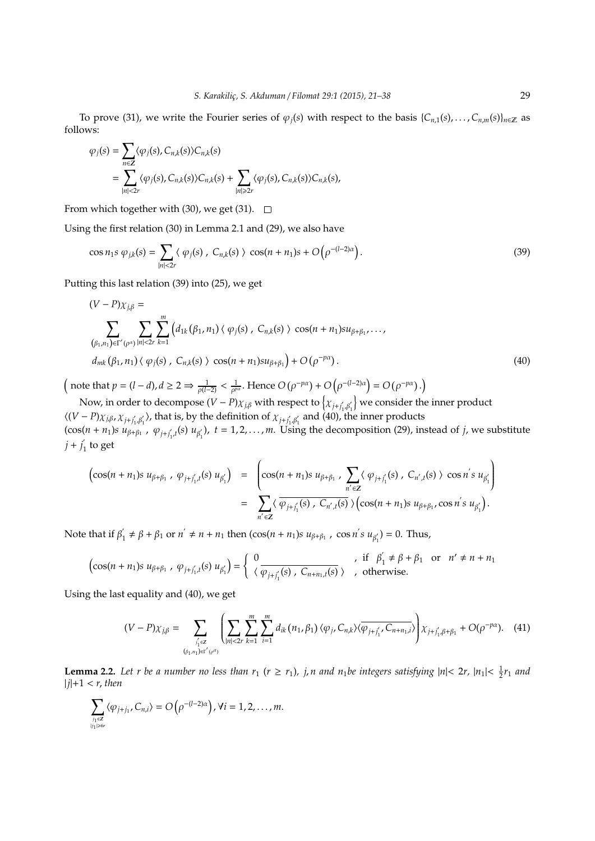To prove (31), we write the Fourier series of  $\varphi_i(s)$  with respect to the basis  $\{C_{n,1}(s), \ldots, C_{n,m}(s)\}_{n \in \mathbb{Z}}$  as follows:

$$
\varphi_j(s) = \sum_{n \in \mathbb{Z}} \langle \varphi_j(s), C_{n,k}(s) \rangle C_{n,k}(s)
$$
  
= 
$$
\sum_{|n| < 2r} \langle \varphi_j(s), C_{n,k}(s) \rangle C_{n,k}(s) + \sum_{|n| \geq 2r} \langle \varphi_j(s), C_{n,k}(s) \rangle C_{n,k}(s),
$$

From which together with (30), we get (31).  $\Box$ 

Using the first relation (30) in Lemma 2.1 and (29), we also have

$$
\cos n_1 s \varphi_{jk}(s) = \sum_{|n| < 2r} \langle \varphi_j(s) \rangle C_{n,k}(s) \rangle \cos(n+n_1)s + O\left(\rho^{-(l-2)\alpha}\right). \tag{39}
$$

Putting this last relation (39) into (25), we get

$$
(V - P)\chi_{j,\beta} = \sum_{(\beta_1,n_1) \in \Gamma'(\rho^{\alpha})} \sum_{|n| < 2r} \sum_{k=1}^m \left( d_{1k}(\beta_1,n_1) \langle \varphi_j(s), C_{n,k}(s) \rangle \cos(n+n_1) s u_{\beta+\beta_1}, \dots, d_{mk}(\beta_1,n_1) \langle \varphi_j(s), C_{n,k}(s) \rangle \cos(n+n_1) s u_{\beta+\beta_1} \right) + O(\rho^{-p\alpha}). \tag{40}
$$

 $\left(\text{ note that } p = (l - d), d \geq 2 \Rightarrow \frac{1}{\rho^{(l-2)}} < \frac{1}{\rho^{px}}. \text{ Hence } O(\rho^{-p\alpha}) + O(\rho^{-(l-2)\alpha}) = O(\rho^{-p\alpha}).\right)$ 

Now, in order to decompose  $(V - P) \chi_{j,\beta}$  with respect to  $\left\{\chi_{j+j_1',\beta_1'}\right\}$  we consider the inner product  $\langle (V - P) \chi_{j,\beta}, \chi_{j+j'_1,\beta'_1} \rangle$ , that is, by the definition of  $\chi_{j+j'_1,\beta'_1}$  and (40), the inner products  $(\cos(n + n_1)s \ u_{\beta+\beta_1}$ ,  $\varphi_{j+j'_1,t}(s) \ u_{\beta'_1})$ ,  $t = 1, 2, ..., m$ . Using the decomposition (29), instead of *j*, we substitute  $j + j_1$  to get

$$
\begin{array}{rcl}\n\left(\cos(n+n_1)s \ u_{\beta+\beta_1} \ , \ \varphi_{j+j_1',t}(s) \ u_{\beta'_1}\right) & = & \left(\cos(n+n_1)s \ u_{\beta+\beta_1} \ , \ \sum_{n' \in \mathbb{Z}} \langle \ \varphi_{j+j_1'}(s) \ , \ C_{n',t}(s) \ \rangle \ \cos n' s \ u_{\beta'_1}\right) \\
& = & \sum_{n' \in \mathbb{Z}} \langle \ \overline{\varphi_{j+j_1'}(s) \ , \ C_{n',t}(s) \ \rangle} \left(\cos(n+n_1)s \ u_{\beta+\beta_1}, \cos n' s \ u_{\beta'_1}\right).\n\end{array}
$$

Note that if  $\beta_1$  $u_1' \neq \beta + \beta_1$  or  $n' \neq n + n_1$  then  $(\cos(n + n_1)s \ u_{\beta + \beta_1})$ ,  $\cos n's \ u_{\beta'_1}) = 0$ . Thus,

$$
\left(\cos(n+n_1)s\ u_{\beta+\beta_1}\ ,\ \varphi_{j+j_1,t}(s)\ u_{\beta_1'}\right)=\left\{\begin{array}{ll}0&,\ \text{if}\ \ \beta_1'\neq\beta+\beta_1\ \text{or}\ \ n'\neq n+n_1\\ \langle\ \overline{\varphi_{j+j_1'}(s)\ ,\ C_{n+n_1,t}(s)}\ \rangle\end{array}\right.,\ \text{otherwise.}
$$

Using the last equality and (40), we get

$$
(V - P)\chi_{j,\beta} = \sum_{\substack{j_1 \in \mathbb{Z} \\ (\beta_1, n_1) \in \Gamma'(\rho^{\alpha})}} \left( \sum_{|n| < 2r} \sum_{k=1}^m \sum_{i=1}^m d_{ik} (n_1, \beta_1) \langle \varphi_j, C_{n,k} \rangle \langle \overline{\varphi_{j+j_1'} C_{n+n_1,i}} \rangle \right) \chi_{j+j_1'\beta+\beta_1} + O(\rho^{-p\alpha}). \tag{41}
$$

**Lemma 2.2.** Let r be a number no less than  $r_1$  ( $r \ge r_1$ ), j, n and  $n_1$ be integers satisfying  $|n| < 2r$ ,  $|n_1| < \frac{1}{2}r_1$  and |*j*|+1 < *r*, *then*

$$
\sum_{\substack{j_1\in \mathbb{Z}\\|j_1|\geq \delta r}}\langle \varphi_{j+j_1},C_{n,i}\rangle = O\left(\rho^{-(l-2)\alpha}\right), \forall i=1,2,\ldots,m.
$$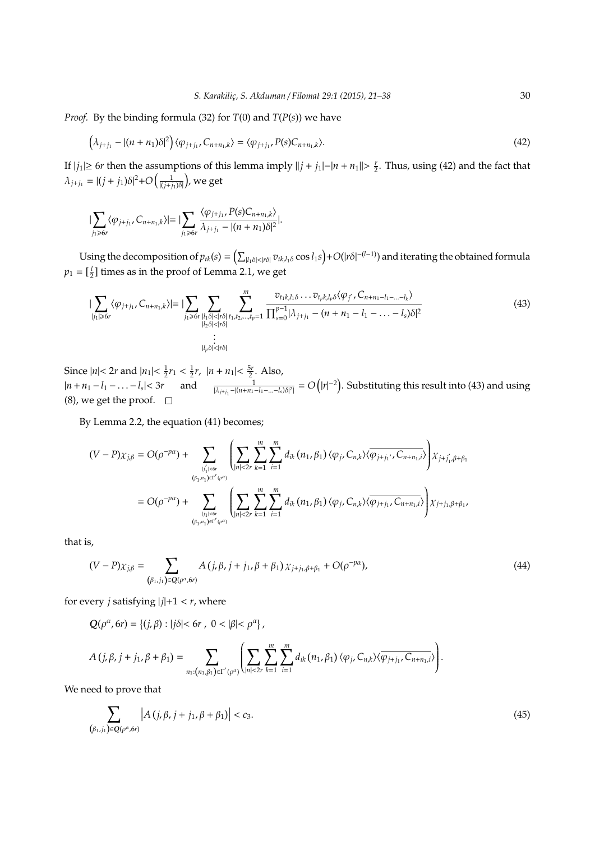*Proof.* By the binding formula (32) for  $T(0)$  and  $T(P(s))$  we have

$$
\left(\lambda_{j+j_1} - |(n+n_1)\delta|^2\right)\langle\varphi_{j+j_1}, C_{n+n_1,k}\rangle = \langle\varphi_{j+j_1}, P(s)C_{n+n_1,k}\rangle. \tag{42}
$$

If  $|j_1|$  ≥ 6*r* then the assumptions of this lemma imply  $||j + j_1| - |n + n_1|| > \frac{r}{2}$ . Thus, using (42) and the fact that  $λ_{j+j_1} = |(j + j_1)δ|^2 + O\left(\frac{1}{|(j + j_1)δ|}\right)$ , we get

$$
\sum_{j_1 \geq 6r} \langle \varphi_{j+j_1}, C_{n+n_1,k} \rangle = \Big| \sum_{j_1 \geq 6r} \frac{\langle \varphi_{j+j_1}, P(s) C_{n+n_1,k} \rangle}{\lambda_{j+j_1} - |(n+n_1)\delta|^2} \Big|.
$$

Using the decomposition of  $p_{tk}(s) = (\sum_{|l_1\delta|<|r\delta|} v_{tk,l_1\delta} \cos l_1s) + O(|r\delta|^{-(l-1)})$  and iterating the obtained formula  $p_1 = \left[\frac{1}{2}\right]$  times as in the proof of Lemma 2.1, we get

$$
|\sum_{|j_1|\geqslant 6r}\langle\varphi_{j+j_1},C_{n+n_1,k}\rangle| = |\sum_{j_1\geqslant 6r}\sum_{\substack{|l_1\delta|<|r\delta|\\|l_2\delta|<|r\delta|}}\sum_{\substack{m\\(l_1,l_2,\ldots,l_p=1]}}\frac{v_{t_1k,l_1\delta}\ldots v_{t_pk,l_p\delta}\langle\varphi_{j'},C_{n+n_1-l_1-\ldots-l_k}\rangle}{\prod_{s=0}^{p-1}|\lambda_{j+j_1}-(n+n_1-l_1-\ldots-l_s)\delta|^2}
$$
(43)

Since  $|n| < 2r$  and  $|n_1| < \frac{1}{2}r_1 < \frac{1}{2}r$ ,  $|n + n_1| < \frac{5r}{2}$ . Also,  $|n+n_1-l_1-\ldots-l_s|<3r$  and  $\frac{1}{|\lambda_{j+i_1}-(n+n_1-l_1-\ldots-l_s)\delta|^2|} = O(|r|^{-2})$ . Substituting this result into (43) and using (8), we get the proof.  $\square$ 

By Lemma 2.2, the equation (41) becomes;

$$
(V - P)\chi_{j,\beta} = O(\rho^{-p\alpha}) + \sum_{\substack{|j_1| \leq \delta r \\ (\beta_1, n_1) \in \Gamma'(\rho^{\alpha})}} \left( \sum_{|n| < 2r} \sum_{k=1}^m \sum_{i=1}^m d_{ik} (n_1, \beta_1) \langle \varphi_j, C_{n,k} \rangle \langle \overline{\varphi_{j+j_1}, C_{n+n_1,i}} \rangle \right) \chi_{j+j_1,\beta+\beta_1}
$$
\n
$$
= O(\rho^{-p\alpha}) + \sum_{\substack{|j_1| \leq \delta r \\ (\beta_1, n_1) \in \Gamma'(\rho^{\alpha})}} \left( \sum_{|n| < 2r} \sum_{k=1}^m \sum_{i=1}^m d_{ik} (n_1, \beta_1) \langle \varphi_j, C_{n,k} \rangle \langle \overline{\varphi_{j+j_1}, C_{n+n_1,i}} \rangle \right) \chi_{j+j_1,\beta+\beta_1},
$$

that is,

$$
(V - P)\chi_{j,\beta} = \sum_{(\beta_1,j_1) \in \mathcal{Q}(\rho^{\alpha},\delta r)} A(j,\beta,j+j_1,\beta+\beta_1) \chi_{j+j_1,\beta+\beta_1} + O(\rho^{-p\alpha}), \tag{44}
$$

for every *j* satisfying  $|j|+1 < r$ , where

$$
Q(\rho^{\alpha}, 6r) = \{(j, \beta) : |j\delta| < 6r \; , \; 0 < |\beta| < \rho^{\alpha}\},
$$

$$
A(j,\beta,j+j_1,\beta+\beta_1)=\sum_{n_1:\{n_1,\beta_1\}\in\Gamma'(\rho^{\alpha})}\left(\sum_{|n|<2r}\sum_{k=1}^m\sum_{i=1}^md_{ik}(n_1,\beta_1)\langle\varphi_j,C_{n,k}\rangle\langle\overline{\varphi_{j+j_1},C_{n+n_1,i}}\rangle\right).
$$

We need to prove that

$$
\sum_{(\beta_1,j_1)\in Q(\rho^{\alpha},\delta r)} \left| A(j,\beta,j+j_1,\beta+\beta_1) \right| < c_3. \tag{45}
$$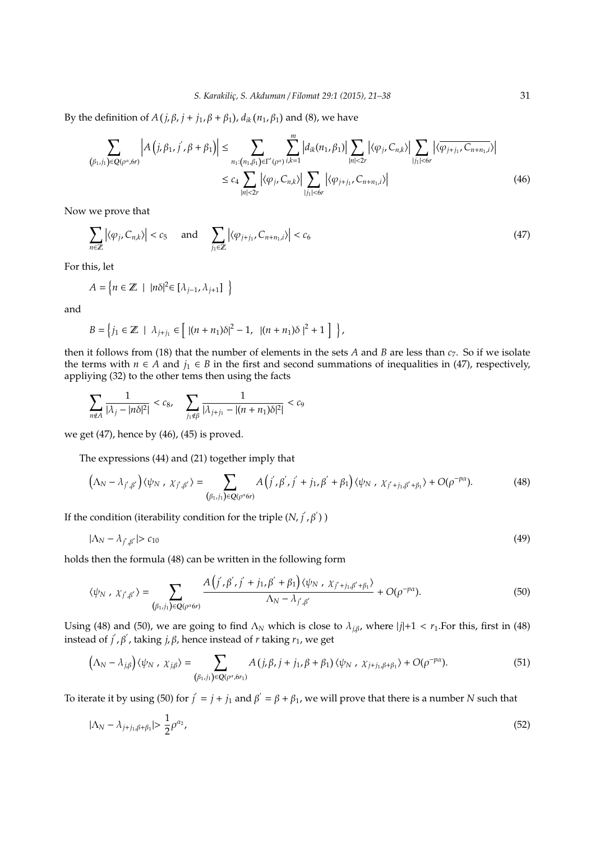By the definition of  $A(j, \beta, j + j_1, \beta + \beta_1)$ ,  $d_{ik}(n_1, \beta_1)$  and (8), we have

$$
\sum_{(\beta_{1},j_{1}) \in Q(\rho^{\alpha},\delta r)} \left| A\left(j,\beta_{1},j',\beta+\beta_{1}\right) \right| \leq \sum_{n_{1}:(n_{1},\beta_{1}) \in \Gamma'(\rho^{\alpha})} \sum_{i,k=1}^{m} \left| d_{ik}(n_{1},\beta_{1}) \right| \sum_{|n|<2r} \left| \langle \varphi_{j},C_{n,k} \rangle \right| \sum_{|j_{1}|<6r} \left| \langle \overline{\varphi_{j+j_{1}},C_{n+n_{1},i}} \rangle \right|
$$
\n
$$
\leq c_{4} \sum_{|n|<2r} \left| \langle \varphi_{j},C_{n,k} \rangle \right| \sum_{|j_{1}|<6r} \left| \langle \varphi_{j+j_{1}},C_{n+n_{1},i} \rangle \right| \tag{46}
$$

Now we prove that

$$
\sum_{n\in\mathbb{Z}}\left|\langle\varphi_j,C_{n,k}\rangle\right|
$$

For this, let

$$
A = \left\{ n \in \mathbb{Z} \mid |n\delta|^2 \in [\lambda_{j-1}, \lambda_{j+1}] \right\}
$$

and

$$
B = \left\{ j_1 \in \mathbb{Z} \mid \lambda_{j+j_1} \in \left[ \|(n+n_1)\delta|^2 - 1, \|(n+n_1)\delta\|^2 + 1 \right] \right\},\
$$

then it follows from (18) that the number of elements in the sets *A* and *B* are less than *c*7. So if we isolate the terms with  $n \in A$  and  $j_1 \in B$  in the first and second summations of inequalities in (47), respectively, appliying (32) to the other tems then using the facts

$$
\sum_{n\not\in A}\frac{1}{|\lambda_j-|n\delta|^2|}
$$

we get (47), hence by (46), (45) is proved.

The expressions (44) and (21) together imply that

$$
\left(\Lambda_N - \lambda_{j',\beta'}\right)\langle\psi_N\,,\,\chi_{j',\beta'}\rangle = \sum_{(\beta_1,j_1)\in Q(\rho^{\alpha}6r)} A\left(j',\beta',j'+j_1,\beta'+\beta_1\right)\langle\psi_N\,,\,\chi_{j'+j_1,\beta'+\beta_1}\rangle + O(\rho^{-p\alpha}).\tag{48}
$$

If the condition (iterability condition for the triple  $(N, j', \beta')$ )

$$
|\Lambda_N - \lambda_{j',\beta'}| > c_{10} \tag{49}
$$

holds then the formula (48) can be written in the following form

$$
\langle \psi_N \, , \, \chi_{j',\beta'} \rangle = \sum_{(\beta_1,j_1) \in \mathcal{Q}(\rho^{\alpha} 6r)} \frac{A\left(j',\beta',j'+j_1,\beta'+\beta_1\right) \langle \psi_N \, , \, \chi_{j'+j_1,\beta'+\beta_1} \rangle}{\Lambda_N - \lambda_{j',\beta'}} + O(\rho^{-p\alpha}). \tag{50}
$$

Using (48) and (50), we are going to find  $\Lambda_N$  which is close to  $\lambda_{j,\beta}$ , where  $|j|+1 < r_1$ . For this, first in (48) instead of  $j'$ ,  $\beta'$ , taking  $j$ ,  $\beta$ , hence instead of *r* taking  $r_1$ , we get

$$
(\Lambda_N - \lambda_{j,\beta}) \langle \psi_N, \chi_{j,\beta} \rangle = \sum_{(\beta_1,j_1) \in \mathbb{Q}(\rho^{\alpha}, 6r_1)} A(j,\beta,j+j_1,\beta+\beta_1) \langle \psi_N, \chi_{j+j_1,\beta+\beta_1} \rangle + O(\rho^{-p\alpha}). \tag{51}
$$

To iterate it by using (50) for  $j' = j + j_1$  and  $\beta' = \beta + \beta_1$ , we will prove that there is a number *N* such that

$$
|\Lambda_N - \lambda_{j+j_1,\beta+\beta_1}| > \frac{1}{2}\rho^{\alpha_2},\tag{52}
$$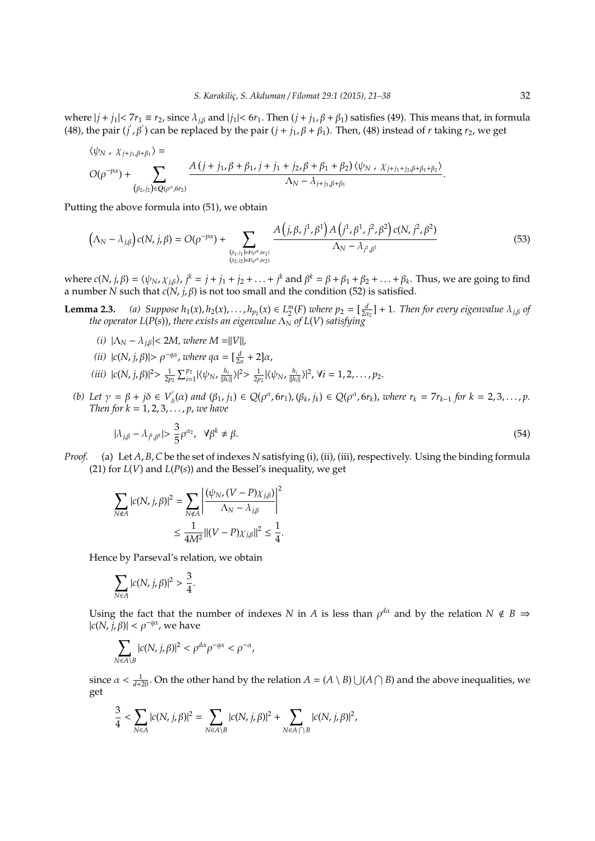where  $|j + j_1| < 7r_1 \equiv r_2$ , since  $\lambda_{i,\beta}$  and  $|j_1| < 6r_1$ . Then  $(j + j_1, \beta + \beta_1)$  satisfies (49). This means that, in formula (48), the pair (*j'*,  $\beta'$ ) can be replaced by the pair ( $j + j_1$ ,  $\beta + \beta_1$ ). Then, (48) instead of *r* taking *r*<sub>2</sub>, we get

$$
\langle \psi_N, \chi_{j+j_1,\beta+\beta_1} \rangle =
$$
  

$$
O(\rho^{-p\alpha}) + \sum_{(\beta_2, j_2) \in Q(\rho^{\alpha}, \delta r_2)} \frac{A(j+j_1, \beta+\beta_1, j+j_1+j_2, \beta+\beta_1+\beta_2) \langle \psi_N, \chi_{j+j_1+j_2,\beta+\beta_1+\beta_2} \rangle}{\Delta_N - \lambda_{j+j_1,\beta+\beta_1}}.
$$

Putting the above formula into (51), we obtain

$$
(\Lambda_N - \lambda_{j,\beta})c(N, j, \beta) = O(\rho^{-p\alpha}) + \sum_{\substack{(\beta_1, j_1) \in F(\rho^{\alpha}, \delta r_1) \\ (\beta_2, j_2) \in F(\rho^{\alpha}, \delta r_2)}} \frac{A(j, \beta, j^1, \beta^1)A(j^1, \beta^1, j^2, \beta^2)c(N, j^2, \beta^2)}{\Lambda_N - \lambda_{j^1, \beta^1}}
$$
(53)

where  $c(N, j, \beta) = \langle \psi_N, \chi_{j,\beta} \rangle$ ,  $j^k = j + j_1 + j_2 + \ldots + j^k$  and  $\beta^k = \beta + \beta_1 + \beta_2 + \ldots + \beta_k$ . Thus, we are going to find a number *N* such that *c*(*N*, *j*, β) is not too small and the condition (52) is satisfied.

**Lemma 2.3.** (a) Suppose  $h_1(x), h_2(x), \ldots, h_{p_2}(x) \in L_2^m(F)$  where  $p_2 = [\frac{d}{2\alpha_2}] + 1$ . Then for every eigenvalue  $\lambda_{j,\beta}$  of *the operator L(P(s)), there exists an eigenvalue*  $\Lambda_N$  *of L(V) satisfying* 

- *(i)*  $|\Lambda_N \lambda_{j,\beta}| < 2M$ , where  $M = ||V||$ ,
- *(ii)*  $|c(N, j, \beta)| > \rho^{-q\alpha}$ , *where*  $q\alpha = \left[\frac{d}{2\alpha} + 2\right]\alpha$ ,
- (*iii*)  $|c(N, j, \beta)|^2 > \frac{1}{2p_2} \sum_{i=1}^{p_2} |\langle \psi_N, \frac{h_i}{||h_i||} \rangle|^2 > \frac{1}{2p_2} |\langle \psi_N, \frac{h_i}{||h_i||} \rangle|^2$ ,  $\forall i = 1, 2, ..., p_2$ .
- *(b) Let*  $γ = β + jδ ∈ V'$  $S_{\delta}(\alpha)$  and  $(\beta_1, j_1) \in Q(\rho^{\alpha}, 6r_1), (\beta_k, j_k) \in Q(\rho^{\alpha}, 6r_k)$ , where  $r_k = 7r_{k-1}$  for  $k = 2, 3, ..., p$ . *Then for k* = 1, 2, 3, . . . , *p*, *we have*

$$
|\lambda_{j,\beta} - \lambda_{j^k,\beta^k}| > \frac{3}{5}\rho^{\alpha_2}, \quad \forall \beta^k \neq \beta.
$$

*Proof.* (a) Let *A*, *B*,*C* be the set of indexes *N* satisfying (i), (ii), (iii), respectively. Using the binding formula (21) for *L*(*V*) and *L*(*P*(*s*)) and the Bessel's inequality, we get

$$
\sum_{N \notin A} |c(N, j, \beta)|^2 = \sum_{N \notin A} \left| \frac{(\psi_N, (V - P)\chi_{j, \beta})}{\Lambda_N - \lambda_{j, \beta}} \right|^2
$$
  

$$
\leq \frac{1}{4M^2} ||(V - P)\chi_{j, \beta}||^2 \leq \frac{1}{4}.
$$

Hence by Parseval's relation, we obtain

$$
\sum_{N\in A} |c(N,j,\beta)|^2 > \frac{3}{4}.
$$

Using the fact that the number of indexes *N* in *A* is less than  $\rho^{d\alpha}$  and by the relation  $N \notin B \Rightarrow$  $|c(N, j, \beta)| < \rho^{-q\alpha}$ , we have

$$
\sum_{N\in A\setminus B} |c(N,j,\beta)|^2 < \rho^{d\alpha}\rho^{-q\alpha} < \rho^{-\alpha},
$$

since  $\alpha < \frac{1}{d+20}$ . On the other hand by the relation  $A = (A \setminus B) \cup (A \cap B)$  and the above inequalities, we get

$$
\frac{3}{4}<\sum_{N\in A}|c(N,j,\beta)|^2=\sum_{N\in A\setminus B}|c(N,j,\beta)|^2+\sum_{N\in A\bigcap B}|c(N,j,\beta)|^2,
$$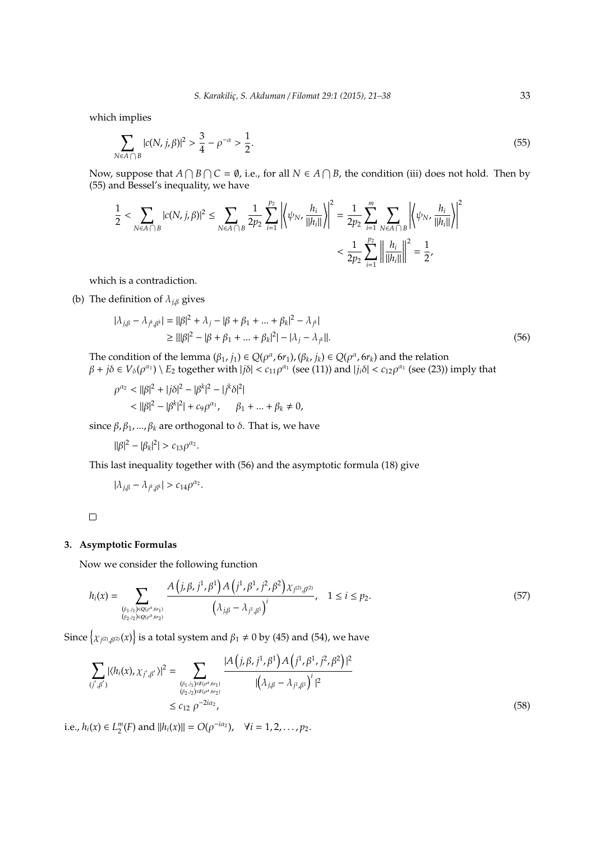which implies

$$
\sum_{N \in A \cap B} |c(N, j, \beta)|^2 > \frac{3}{4} - \rho^{-\alpha} > \frac{1}{2}.
$$
\n(55)

Now, suppose that  $A \cap B \cap C = \emptyset$ , i.e., for all  $N \in A \cap B$ , the condition (iii) does not hold. Then by (55) and Bessel's inequality, we have

$$
\frac{1}{2} < \sum_{N \in A \cap B} |c(N, j, \beta)|^2 \le \sum_{N \in A \cap B} \frac{1}{2p_2} \sum_{i=1}^{p_2} \left| \left\langle \psi_N, \frac{h_i}{\|h_i\|} \right\rangle \right|^2 = \frac{1}{2p_2} \sum_{i=1}^m \sum_{N \in A \cap B} \left| \left\langle \psi_N, \frac{h_i}{\|h_i\|} \right\rangle \right|^2
$$
\n
$$
< \frac{1}{2p_2} \sum_{i=1}^{p_2} \left| \left| \frac{h_i}{\|h_i\|} \right| \right|^2 = \frac{1}{2},
$$

which is a contradiction.

(b) The definition of  $\lambda_{i,\beta}$  gives

$$
|\lambda_{j,\beta} - \lambda_{j^k,\beta^k}| = ||\beta|^2 + \lambda_j - |\beta + \beta_1 + \dots + \beta_k|^2 - \lambda_{j^k}|
$$
  
\n
$$
\ge ||\beta|^2 - |\beta + \beta_1 + \dots + \beta_k|^2| - |\lambda_j - \lambda_{j^k}|.
$$
\n(56)

The condition of the lemma  $(\beta_1, j_1) \in Q(\rho^{\alpha}, 6r_1)$ ,  $(\beta_k, j_k) \in Q(\rho^{\alpha}, 6r_k)$  and the relation  $\beta + j\delta \in V_{\delta}(\rho^{\alpha_1}) \setminus E_2$  together with  $|j\delta| < c_{11}\rho^{\alpha_1}$  (see (11)) and  $|j_i\delta| < c_{12}\rho^{\alpha_1}$  (see (23)) imply that

$$
\rho^{\alpha_2} < ||\beta|^2 + |j\delta|^2 - |\beta^k|^2 - |j^k\delta|^2| \\
&< ||\beta|^2 - |\beta^k|^2 + c_9 \rho^{\alpha_1}, \quad \beta_1 + \dots + \beta_k \neq 0,
$$

since  $\beta$ ,  $\beta_1$ , ...,  $\beta_k$  are orthogonal to  $\delta$ . That is, we have

$$
||\beta|^2 - |\beta_k|^2| > c_{13}\rho^{\alpha_2}.
$$

This last inequality together with (56) and the asymptotic formula (18) give

$$
|\lambda_{j,\beta} - \lambda_{j^k,\beta^k}| > c_{14}\rho^{\alpha_2}.
$$

 $\Box$ 

#### **3. Asymptotic Formulas**

Now we consider the following function

$$
h_i(x) = \sum_{\substack{(\beta_1, j_1) \in Q(\rho^{\alpha}, \delta r_1) \\ (\beta_2, j_2) \in Q(\rho^{\alpha}, \delta r_2)}} \frac{A\left(j, \beta, j^1, \beta^1\right) A\left(j^1, \beta^1, j^2, \beta^2\right) \chi_{j^2, \beta^2}}{\left(\lambda_{j\beta} - \lambda_{j^1, \beta^1}\right)^i}, \quad 1 \le i \le p_2.
$$
\n
$$
(57)
$$

Since  $\left\{\chi_{j^{(2)},\beta^{(2)}}(x)\right\}$  is a total system and  $\beta_1\neq 0$  by (45) and (54), we have

$$
\sum_{(j',\beta')} |\langle h_i(x), \chi_{j',\beta'} \rangle|^2 = \sum_{\substack{(\beta_1, j_1) \in F(\rho^{\alpha}, \delta r_1) \\ (\beta_2, j_2) \in F(\rho^{\alpha}, \delta r_2)}} \frac{|A(j, \beta, j^1, \beta^1) A(j^1, \beta^1, j^2, \beta^2)|^2}{|(\lambda_{j,\beta} - \lambda_{j^1,\beta^1})^i|^2}
$$
  
 
$$
\leq c_{12} \rho^{-2i\alpha_2}, \qquad (58)
$$

i.e.,  $h_i(x) \in L_2^m(F)$  and  $||h_i(x)|| = O(\rho^{-i\alpha_2})$ ,  $\forall i = 1, 2, ..., p_2$ .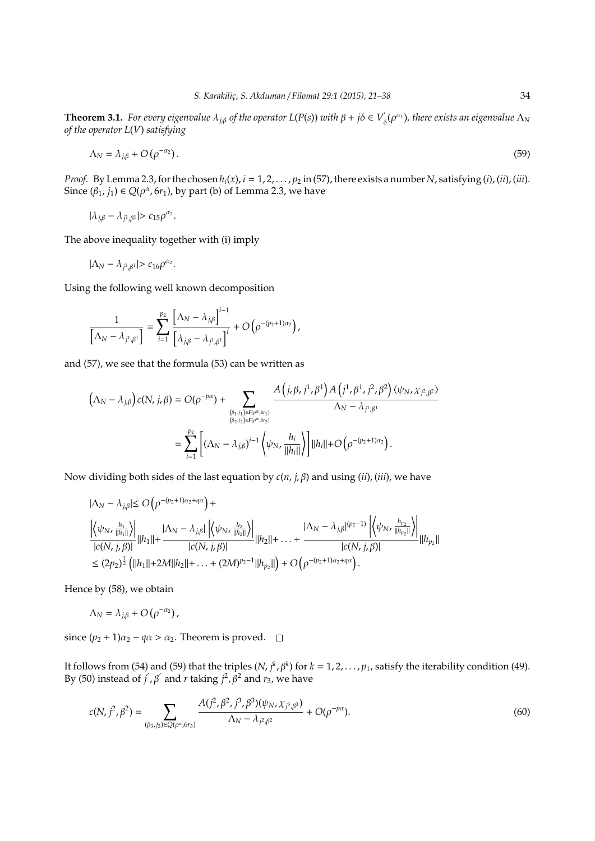**Theorem 3.1.** *For every eigenvalue*  $\lambda_{j,\beta}$  *of the operator*  $L(P(s))$  *with*  $\beta + j\delta \in V'$  $\sigma_{\delta}^{'}(\rho^{\alpha_1})$ , there exists an eigenvalue  $\Lambda_N$ *of the operator L*(*V*) *satisfying*

$$
\Lambda_N = \lambda_{j,\beta} + O(\rho^{-\alpha_2}). \tag{59}
$$

*Proof.* By Lemma 2.3, for the chosen  $h_i(x)$ ,  $i = 1, 2, ..., p_2$  in (57), there exists a number *N*, satisfying (*i*), (*ii*), (*iii*). Since  $(\beta_1, j_1) \in Q(\rho^{\alpha}, 6r_1)$ , by part (b) of Lemma 2.3, we have

$$
|\lambda_{j,\beta} - \lambda_{j^1,\beta^1}| > c_{15}\rho^{\alpha_2}.
$$

The above inequality together with (i) imply

$$
|\Lambda_N-\lambda_{j^1,\beta^1}|>c_{16}\rho^{\alpha_2}.
$$

Using the following well known decomposition

$$
\frac{1}{\left[\Lambda_N-\lambda_{j^1,\beta^1}\right]}=\sum_{i=1}^{p_2}\frac{\left[\Lambda_N-\lambda_{j,\beta}\right]^{i-1}}{\left[\lambda_{j,\beta}-\lambda_{j^1,\beta^1}\right]^i}+O\left(\rho^{-(p_2+1)\alpha_2}\right),
$$

and (57), we see that the formula (53) can be written as

$$
\begin{aligned} \left(\Lambda_N-\lambda_{j,\beta}\right)c(N,j,\beta)&=O(\rho^{-p\alpha})+\sum_{\stackrel{(\beta_1,j_1)\in F(\rho^{\alpha},\delta r_1)}{(\beta_2,j_2)\in F(\rho^{\alpha},\delta r_2)}}\frac{A\left(j,\beta,j^1,\beta^1\right)A\left(j^1,\beta^1,j^2,\beta^2\right)\langle\psi_N,\chi_{j^2,\beta^2}\rangle}{\Lambda_N-\lambda_{j^1,\beta^1}}\\ &=\sum_{i=1}^{p_2}\left[\left(\Lambda_N-\lambda_{j,\beta}\right)^{i-1}\left\langle\psi_N,\frac{h_i}{||h_i||}\right\rangle\right]||h_i||+O\left(\rho^{-(p_2+1)\alpha_2}\right). \end{aligned}
$$

Now dividing both sides of the last equation by *c*(*n*, *j*, β) and using (*ii*), (*iii*), we have

$$
\begin{aligned} &|\Lambda_N - \lambda_{j,\beta}| \leq O\left(\rho^{-(p_2+1)\alpha_2 + q\alpha}\right) + \\ &\frac{\left|\left\langle \psi_N, \frac{h_1}{\|h_1\|}\right\rangle\right|}{|c(N,j,\beta)|} ||h_1|| + \frac{|\Lambda_N - \lambda_{j,\beta}| \left|\left\langle \psi_N, \frac{h_2}{\|h_2\|}\right\rangle\right|}{|c(N,j,\beta)|} ||h_2|| + \dots + \frac{|\Lambda_N - \lambda_{j,\beta}|^{(p_2-1)} \left|\left\langle \psi_N, \frac{h_{p_2}}{\|h_{p_2}\|}\right\rangle\right|}{|c(N,j,\beta)|} ||h_{p_2}|| \\ &\leq (2p_2)^{\frac{1}{2}} \left(\|h_1\| + 2M\|h_2\| + \dots + (2M)^{p_2-1}\|h_{p_2}\|\right) + O\left(\rho^{-(p_2+1)\alpha_2 + q\alpha}\right). \end{aligned}
$$

Hence by (58), we obtain

$$
\Lambda_N = \lambda_{j,\beta} + O(\rho^{-\alpha_2}),
$$

since  $(p_2 + 1)\alpha_2 - q\alpha > \alpha_2$ . Theorem is proved. □

It follows from (54) and (59) that the triples  $(N, j^k, \beta^k)$  for  $k = 1, 2, ..., p_1$ , satisfy the iterability condition (49). By (50) instead of  $j$ ,  $\beta$  and *r* taking  $j^2$ ,  $\beta^2$  and  $r_3$ , we have

$$
c(N, j^2, \beta^2) = \sum_{(\beta_3, j_3) \in Q(\rho^{\alpha}, 6r_3)} \frac{A(j^2, \beta^2, j^3, \beta^3)(\psi_N, \chi_{\beta, \beta^3})}{\Lambda_N - \lambda_{j^2, \beta^2}} + O(\rho^{-p\alpha}).
$$
\n(60)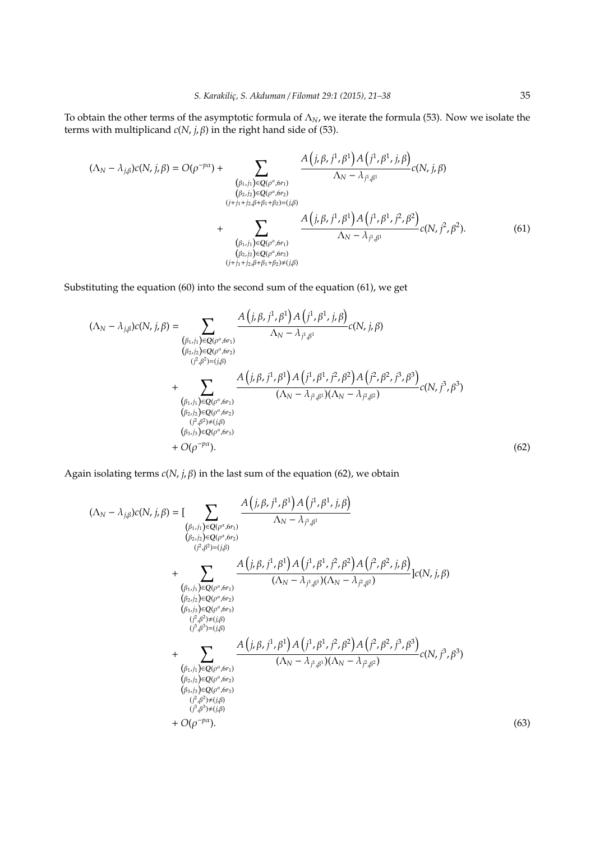To obtain the other terms of the asymptotic formula of Λ*N*, we iterate the formula (53). Now we isolate the terms with multiplicand  $c(N, j, β)$  in the right hand side of (53).

$$
(\Lambda_N - \lambda_{j,\beta})c(N, j, \beta) = O(\rho^{-p\alpha}) + \sum_{\substack{(\beta_1, j_1) \in Q(\rho^{\alpha}, 6r_1) \\ (\beta_2, j_2) \in Q(\rho^{\alpha}, 6r_2) \\ (j+j_1+j_2,\beta+\beta_1+\beta_2) = (j,\beta) \\ (\beta_1, j_1) \in Q(\rho^{\alpha}, 6r_1) \\ (\beta_2, j_2) \in Q(\rho^{\alpha}, 6r_1) \\ (\beta_2, j_2) \in Q(\rho^{\alpha}, 6r_1) \\ (j+j_1+j_2,\beta+\beta_1+\beta_2) \neq (j,\beta) \\ (j+j_1+j_2,\beta+\beta_1+\beta_2) \neq (j,\beta) \tag{61}
$$

Substituting the equation (60) into the second sum of the equation (61), we get

$$
(\Lambda_N - \lambda_{j,\beta})c(N, j, \beta) = \sum_{\substack{(\beta_1, j_1) \in \mathbb{Q}(\rho^{\alpha}, 6r_1) \\ (\beta_2, j_2) \in \mathbb{Q}(\rho^{\alpha}, 6r_2) \\ (j^2, \beta^2) = (j, \beta)}} \frac{A(j, \beta, j^1, \beta^1) A(j^1, \beta^1, j, \beta)}{\Lambda_N - \lambda_{j^1, \beta^1}} c(N, j, \beta)
$$
  
+ 
$$
\sum_{\substack{(\beta_1, j_1) \in \mathbb{Q}(\rho^{\alpha}, 6r_1) \\ (\beta_1, j_1) \in \mathbb{Q}(\rho^{\alpha}, 6r_1) \\ (\beta_2, j_2) \in \mathbb{Q}(\rho^{\alpha}, 6r_2) \\ (j^2, \beta^2) \neq (j, \beta^1)}} \frac{A(j, \beta, j^1, \beta^1) A(j^1, \beta^1, j^2, \beta^2) A(j^2, \beta^2, j^3, \beta^3)}{(\Lambda_N - \lambda_{j^1, \beta^1})(\Lambda_N - \lambda_{j^2, \beta^2})} c(N, j^3, \beta^3)
$$
  
+ 
$$
O(\rho^{-p\alpha}).
$$
 (62)

Again isolating terms  $c(N, j, \beta)$  in the last sum of the equation (62), we obtain

$$
(\Lambda_{N} - \lambda_{j,\beta})c(N, j, \beta) = \left[\sum_{\substack{(\beta_{1},j_{1}) \in Q(\rho^{\alpha},6r_{1}) \\ (\beta_{2},j_{2}) \in Q(\rho^{\alpha},6r_{2})}} \frac{A(j,\beta,j_{1})A(j^{1},\beta^{1},j\beta)}{\Lambda_{N} - \lambda_{j^{1},\beta^{1}}}\right] + \sum_{\substack{(\beta_{1},j_{1}) \in Q(\rho^{\alpha},6r_{1}) \\ (\beta_{2},j_{2}) \in Q(\rho^{\alpha},6r_{1})}} \frac{A(j,\beta,j_{1},\beta^{1})A(j^{1},\beta^{1},j^{2},\beta^{2})A(j^{2},\beta^{2},j,\beta)}{(N_{N} - \lambda_{j^{1},\beta^{1}})(\Lambda_{N} - \lambda_{j^{2},\beta^{2}})}c(N, j, \beta) (\beta_{2},j_{2})cQ(\rho^{\alpha},6r_{2})}{(\beta_{2},j_{2})cQ(\rho^{\alpha},6r_{2})} (\beta_{j^{2})^{2}cJ(\beta^{0})} (\beta_{j^{2})^{2}cJ(\beta^{0})} + \sum_{\substack{(\beta_{1},j_{1}) \in Q(\rho^{\alpha},6r_{1}) \\ (\beta_{2},j_{2}) \in Q(\rho^{\alpha},6r_{1})}} \frac{A(j,\beta,j_{1},\beta^{1})A(j^{1},\beta^{1},j^{2},\beta^{2})A(j^{2},\beta^{2},j^{3},\beta^{3})}{(\Lambda_{N} - \lambda_{j^{1},\beta^{1}})(\Lambda_{N} - \lambda_{j^{2},\beta^{2}})}c(N, j^{3},\beta^{3}) (\beta_{2},j_{2})cQ(\rho^{\alpha},6r_{2}) (\beta_{j^{2},j^{2}}cJ(\beta^{0}) (\beta_{j^{2},j^{2}}cJ(\beta^{0}) (\beta_{j^{2},j^{2}}cJ(\beta^{0}) (\beta_{j^{2}}cJ(\beta^{0}) +(\beta_{j^{2}}cJ(\beta^{0}) +(\beta_{j^{2}}cJ(\beta^{0}) +(\beta_{j^{2}}cJ(\beta^{0}) +(\beta_{j^{2}}cJ(\beta^{0}) +(\beta_{j^{2}}cJ(\beta^{0}) +(\beta_{j^{2}}cJ(\beta^{0}) +(\beta_{j^{2}}cJ(\beta^{0})
$$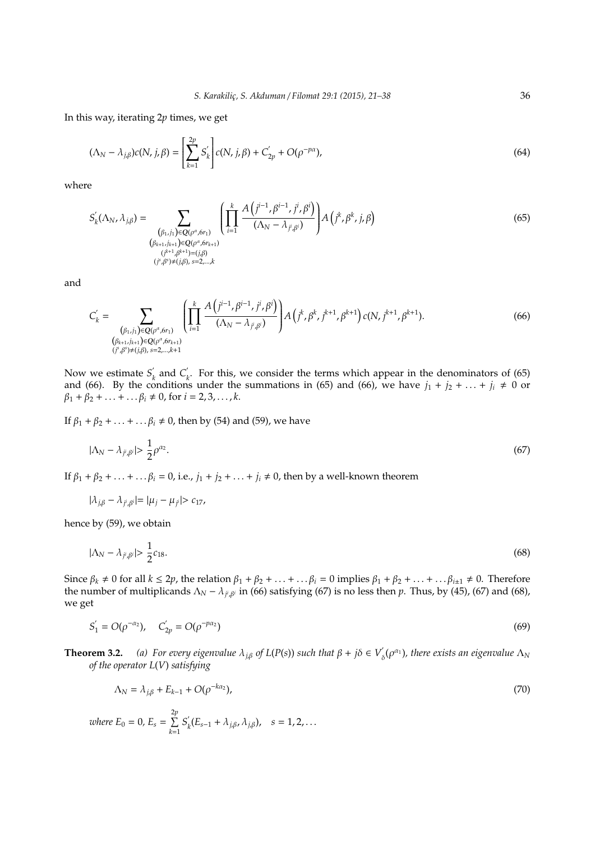In this way, iterating 2*p* times, we get

$$
(\Lambda_N - \lambda_{j,\beta})c(N, j, \beta) = \left[\sum_{k=1}^{2p} S'_k\right]c(N, j, \beta) + C'_{2p} + O(\rho^{-p\alpha}),\tag{64}
$$

where

$$
S'_{k}(\Lambda_{N}, \lambda_{j,\beta}) = \sum_{\substack{(\beta_{1},j_{1}) \in \mathcal{Q}(\rho^{\alpha},\delta r_{1}) \\ (\beta_{k+1},j_{k+1}) \in \mathcal{Q}(\rho^{\alpha},\delta r_{k+1}) \\ (j^{k+1},\beta^{k+1}) = (j,\beta) \\ (j^{k},\beta^{k}) \neq (j,\beta), s=2,\ldots,k}} \left( \prod_{i=1}^{k} \frac{A(j^{i-1},\beta^{i-1},j^{i},\beta^{i})}{(\Lambda_{N}-\lambda_{j^{i},\beta^{i}})} \right) A(j^{k},\beta^{k},j,\beta)
$$
(65)

and

$$
C'_{k} = \sum_{\substack{(\beta_{1},j_{1}) \in Q(\rho^{\alpha},\delta r_{1}) \\ (\beta_{k+1},j_{k+1}) \in Q(\rho^{\alpha},\delta r_{k+1}) \\ (\beta_{j}\beta^{s}) \neq (j,\beta), s=2,\ldots,k+1}} \left( \prod_{i=1}^{k} \frac{A\left(j^{i-1}, \beta^{i-1},j^{i},\beta^{i}\right)}{(\Lambda_{N}-\lambda_{j^{i},\beta^{i}})} \right) A\left(j^{k}, \beta^{k},j^{k+1},\beta^{k+1}\right) c(N,j^{k+1},\beta^{k+1}). \tag{66}
$$

Now we estimate  $S_i$  $\alpha'_{k}$  and  $C'_{l}$ *k* . For this, we consider the terms which appear in the denominators of (65) and (66). By the conditions under the summations in (65) and (66), we have  $j_1 + j_2 + ... + j_i \neq 0$  or  $\beta_1 + \beta_2 + \ldots + \ldots + \beta_i \neq 0$ , for  $i = 2, 3, \ldots, k$ .

If  $\beta_1 + \beta_2 + \ldots + \ldots + \beta_i \neq 0$ , then by (54) and (59), we have

$$
|\Lambda_N - \lambda_{j^i, \beta^i}| > \frac{1}{2} \rho^{\alpha_2}.
$$
\n
$$
(67)
$$

If  $\beta_1 + \beta_2 + \ldots + \ldots + \beta_i = 0$ , i.e.,  $j_1 + j_2 + \ldots + j_i \neq 0$ , then by a well-known theorem

$$
|\lambda_{j,\beta} - \lambda_{j^i,\beta^i}| = |\mu_j - \mu_{j^i}| > c_{17},
$$

hence by (59), we obtain

$$
|\Lambda_N - \lambda_{j^i, \beta^i}| > \frac{1}{2}c_{18}.\tag{68}
$$

Since  $\beta_k \neq 0$  for all  $k \leq 2p$ , the relation  $\beta_1 + \beta_2 + \ldots + \ldots + \beta_i = 0$  implies  $\beta_1 + \beta_2 + \ldots + \ldots + \beta_{i+1} \neq 0$ . Therefore the number of multiplicands  $\Lambda_N - \lambda_{j^i, \beta^i}$  in (66) satisfying (67) is no less then *p*. Thus, by (45), (67) and (68), we get

$$
S_1' = O(\rho^{-\alpha_2}), \quad C_{2p}' = O(\rho^{-p\alpha_2})
$$
\n(69)

**Theorem 3.2.** *(a) For every eigenvalue*  $\lambda_{j,\beta}$  *of*  $L(P(s))$  *such that*  $\beta + j\delta \in V'$  $\int_{\delta}^{\prime} (\rho^{\alpha_1})$ , there exists an eigenvalue  $\Lambda_N$ *of the operator L*(*V*) *satisfying*

$$
\Lambda_N = \lambda_{j,\beta} + E_{k-1} + O(\rho^{-k\alpha_2}),\tag{70}
$$

*where*  $E_0 = 0$ ,  $E_s = \sum^{2p}$ *k*=1  $S_i'$  $\lambda_k(E_{s-1} + \lambda_{j,\beta}, \lambda_{j,\beta}), \quad s = 1, 2, ...$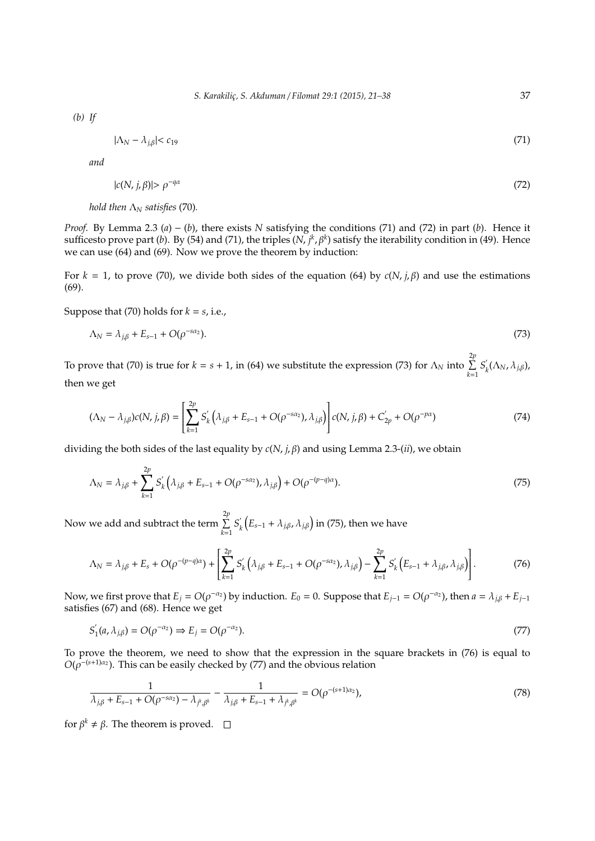*(b) If*

$$
|\Lambda_N - \lambda_{j,\beta}| < c_{19} \tag{71}
$$

*and*

$$
|c(N,j,\beta)| > \rho^{-q\alpha} \tag{72}
$$

*hold then*  $\Lambda_N$  *satisfies* (70).

*Proof.* By Lemma 2.3 (*a*) − (*b*), there exists *N* satisfying the conditions (71) and (72) in part (*b*). Hence it sufficesto prove part (*b*). By (54) and (71), the triples (*N*, *j<sup>k</sup>*, *β<sup>k</sup>*) satisfy the iterability condition in (49). Hence we can use (64) and (69). Now we prove the theorem by induction:

For  $k = 1$ , to prove (70), we divide both sides of the equation (64) by  $c(N, j, \beta)$  and use the estimations (69).

Suppose that (70) holds for  $k = s$ , i.e.,

$$
\Lambda_N = \lambda_{j,\beta} + E_{s-1} + O(\rho^{-s\alpha_2}).
$$
\n
$$
(73)
$$

To prove that (70) is true for  $k = s + 1$ , in (64) we substitute the expression (73) for  $\Lambda_N$  into  $\sum^{2p}$ *k*=1  $S_{\rm i}$ <sup>'</sup> *k* (Λ*N*, λ*j*,β), then we get

$$
(\Lambda_N - \lambda_{j,\beta})c(N,j,\beta) = \left[\sum_{k=1}^{2p} S'_k(\lambda_{j,\beta} + E_{s-1} + O(\rho^{-s\alpha_2}), \lambda_{j,\beta})\right]c(N,j,\beta) + C'_{2p} + O(\rho^{-p\alpha})
$$
(74)

dividing the both sides of the last equality by *c*(*N*, *j*, β) and using Lemma 2.3-(*ii*), we obtain

$$
\Lambda_N = \lambda_{j,\beta} + \sum_{k=1}^{2p} S'_k \left( \lambda_{j,\beta} + E_{s-1} + O(\rho^{-s\alpha_2}), \lambda_{j,\beta} \right) + O(\rho^{-(p-q)\alpha}). \tag{75}
$$

Now we add and subtract the term  $\sum^{2p}$ *k*=1  $S_i'$  $\int\limits_{k}^{'} \left( E_{s-1} + \lambda_{j,\beta}, \lambda_{j,\beta} \right)$  in (75), then we have

$$
\Lambda_N = \lambda_{j,\beta} + E_s + O(\rho^{-(p-q)\alpha}) + \left[ \sum_{k=1}^{2p} S'_k \left( \lambda_{j,\beta} + E_{s-1} + O(\rho^{-s\alpha_2}), \lambda_{j,\beta} \right) - \sum_{k=1}^{2p} S'_k \left( E_{s-1} + \lambda_{j,\beta}, \lambda_{j,\beta} \right) \right].
$$
 (76)

Now, we first prove that  $E_j = O(\rho^{-\alpha_2})$  by induction.  $E_0 = 0$ . Suppose that  $E_{j-1} = O(\rho^{-\alpha_2})$ , then  $a = \lambda_{j,\beta} + E_{j-1}$ satisfies (67) and (68). Hence we get

$$
S'_1(a,\lambda_{j,\beta}) = O(\rho^{-\alpha_2}) \Rightarrow E_j = O(\rho^{-\alpha_2}).
$$
\n(77)

To prove the theorem, we need to show that the expression in the square brackets in (76) is equal to  $O(\rho^{-(s+1)\alpha_2})$ . This can be easily checked by (77) and the obvious relation

$$
\frac{1}{\lambda_{j,\beta} + E_{s-1} + O(\rho^{-s\alpha_2}) - \lambda_{j^k,\beta^k}} - \frac{1}{\lambda_{j,\beta} + E_{s-1} + \lambda_{j^k,\beta^k}} = O(\rho^{-(s+1)\alpha_2}),
$$
\n(78)

for  $\beta^k \neq \beta$ . The theorem is proved.